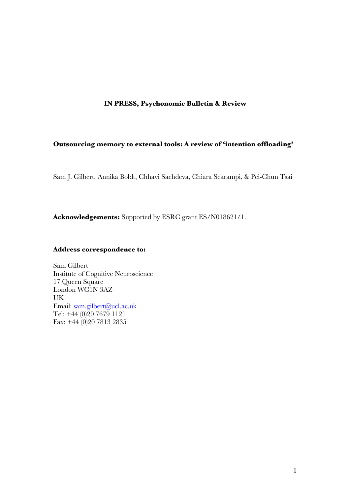# **IN PRESS, Psychonomic Bulletin & Review**

# **Outsourcing memory to external tools: A review of 'intention offloading'**

Sam J. Gilbert, Annika Boldt, Chhavi Sachdeva, Chiara Scarampi, & Pei-Chun Tsai

**Acknowledgements:** Supported by ESRC grant ES/N018621/1.

# **Address correspondence to:**

Sam Gilbert Institute of Cognitive Neuroscience 17 Queen Square London WC1N 3AZ UK Email: sam.gilbert@ucl.ac.uk Tel: +44 (0)20 7679 1121 Fax: +44 (0)20 7813 2835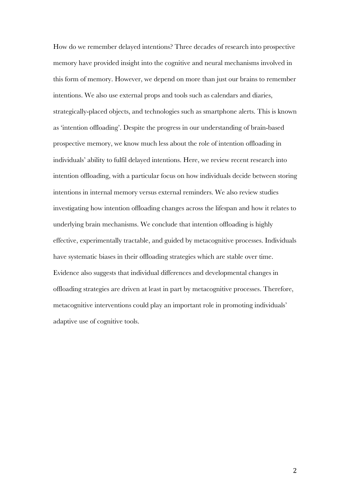How do we remember delayed intentions? Three decades of research into prospective memory have provided insight into the cognitive and neural mechanisms involved in this form of memory. However, we depend on more than just our brains to remember intentions. We also use external props and tools such as calendars and diaries, strategically-placed objects, and technologies such as smartphone alerts. This is known as 'intention offloading'. Despite the progress in our understanding of brain-based prospective memory, we know much less about the role of intention offloading in individuals' ability to fulfil delayed intentions. Here, we review recent research into intention offloading, with a particular focus on how individuals decide between storing intentions in internal memory versus external reminders. We also review studies investigating how intention offloading changes across the lifespan and how it relates to underlying brain mechanisms. We conclude that intention offloading is highly effective, experimentally tractable, and guided by metacognitive processes. Individuals have systematic biases in their offloading strategies which are stable over time. Evidence also suggests that individual differences and developmental changes in offloading strategies are driven at least in part by metacognitive processes. Therefore, metacognitive interventions could play an important role in promoting individuals' adaptive use of cognitive tools.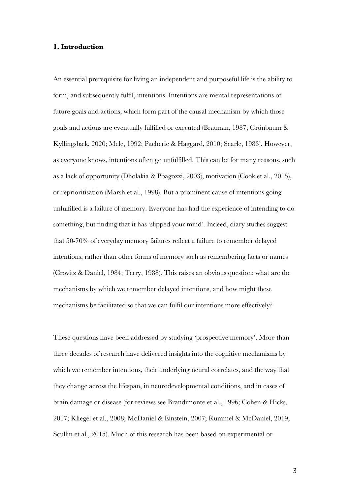# **1. Introduction**

An essential prerequisite for living an independent and purposeful life is the ability to form, and subsequently fulfil, intentions. Intentions are mental representations of future goals and actions, which form part of the causal mechanism by which those goals and actions are eventually fulfilled or executed (Bratman, 1987; Grünbaum & Kyllingsbæk, 2020; Mele, 1992; Pacherie & Haggard, 2010; Searle, 1983). However, as everyone knows, intentions often go unfulfilled. This can be for many reasons, such as a lack of opportunity (Dholakia & Pbagozzi, 2003), motivation (Cook et al., 2015), or reprioritisation (Marsh et al., 1998). But a prominent cause of intentions going unfulfilled is a failure of memory. Everyone has had the experience of intending to do something, but finding that it has 'slipped your mind'. Indeed, diary studies suggest that 50-70% of everyday memory failures reflect a failure to remember delayed intentions, rather than other forms of memory such as remembering facts or names (Crovitz & Daniel, 1984; Terry, 1988). This raises an obvious question: what are the mechanisms by which we remember delayed intentions, and how might these mechanisms be facilitated so that we can fulfil our intentions more effectively?

These questions have been addressed by studying 'prospective memory'. More than three decades of research have delivered insights into the cognitive mechanisms by which we remember intentions, their underlying neural correlates, and the way that they change across the lifespan, in neurodevelopmental conditions, and in cases of brain damage or disease (for reviews see Brandimonte et al., 1996; Cohen & Hicks, 2017; Kliegel et al., 2008; McDaniel & Einstein, 2007; Rummel & McDaniel, 2019; Scullin et al., 2015). Much of this research has been based on experimental or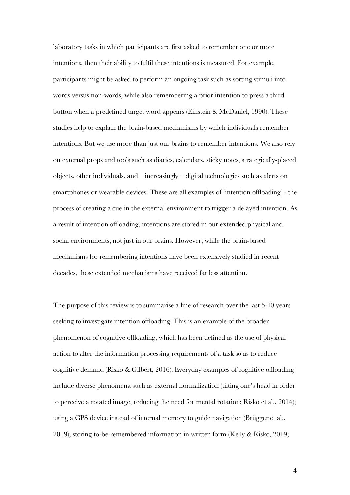laboratory tasks in which participants are first asked to remember one or more intentions, then their ability to fulfil these intentions is measured. For example, participants might be asked to perform an ongoing task such as sorting stimuli into words versus non-words, while also remembering a prior intention to press a third button when a predefined target word appears (Einstein & McDaniel, 1990). These studies help to explain the brain-based mechanisms by which individuals remember intentions. But we use more than just our brains to remember intentions. We also rely on external props and tools such as diaries, calendars, sticky notes, strategically-placed objects, other individuals, and – increasingly – digital technologies such as alerts on smartphones or wearable devices. These are all examples of 'intention offloading' - the process of creating a cue in the external environment to trigger a delayed intention. As a result of intention offloading, intentions are stored in our extended physical and social environments, not just in our brains. However, while the brain-based mechanisms for remembering intentions have been extensively studied in recent decades, these extended mechanisms have received far less attention.

The purpose of this review is to summarise a line of research over the last 5-10 years seeking to investigate intention offloading. This is an example of the broader phenomenon of cognitive offloading, which has been defined as the use of physical action to alter the information processing requirements of a task so as to reduce cognitive demand (Risko & Gilbert, 2016). Everyday examples of cognitive offloading include diverse phenomena such as external normalization (tilting one's head in order to perceive a rotated image, reducing the need for mental rotation; Risko et al., 2014); using a GPS device instead of internal memory to guide navigation (Brügger et al., 2019); storing to-be-remembered information in written form (Kelly & Risko, 2019;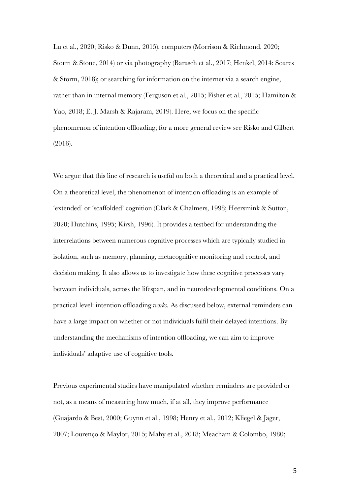Lu et al., 2020; Risko & Dunn, 2015), computers (Morrison & Richmond, 2020; Storm & Stone, 2014) or via photography (Barasch et al., 2017; Henkel, 2014; Soares & Storm, 2018); or searching for information on the internet via a search engine, rather than in internal memory (Ferguson et al., 2015; Fisher et al., 2015; Hamilton & Yao, 2018; E. J. Marsh & Rajaram, 2019). Here, we focus on the specific phenomenon of intention offloading; for a more general review see Risko and Gilbert (2016).

We argue that this line of research is useful on both a theoretical and a practical level. On a theoretical level, the phenomenon of intention offloading is an example of 'extended' or 'scaffolded' cognition (Clark & Chalmers, 1998; Heersmink & Sutton, 2020; Hutchins, 1995; Kirsh, 1996). It provides a testbed for understanding the interrelations between numerous cognitive processes which are typically studied in isolation, such as memory, planning, metacognitive monitoring and control, and decision making. It also allows us to investigate how these cognitive processes vary between individuals, across the lifespan, and in neurodevelopmental conditions. On a practical level: intention offloading *works.* As discussed below, external reminders can have a large impact on whether or not individuals fulfil their delayed intentions. By understanding the mechanisms of intention offloading, we can aim to improve individuals' adaptive use of cognitive tools.

Previous experimental studies have manipulated whether reminders are provided or not, as a means of measuring how much, if at all, they improve performance (Guajardo & Best, 2000; Guynn et al., 1998; Henry et al., 2012; Kliegel & Jäger, 2007; Lourenço & Maylor, 2015; Mahy et al., 2018; Meacham & Colombo, 1980;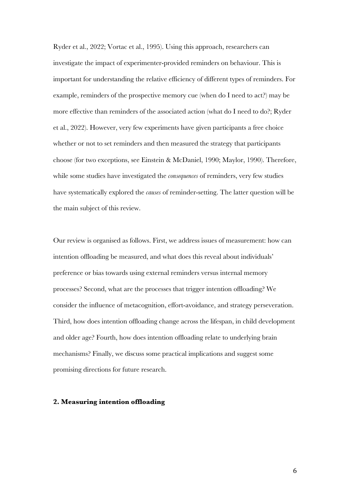Ryder et al., 2022; Vortac et al., 1995). Using this approach, researchers can investigate the impact of experimenter-provided reminders on behaviour. This is important for understanding the relative efficiency of different types of reminders. For example, reminders of the prospective memory cue (when do I need to act?) may be more effective than reminders of the associated action (what do I need to do?; Ryder et al., 2022). However, very few experiments have given participants a free choice whether or not to set reminders and then measured the strategy that participants choose (for two exceptions, see Einstein & McDaniel, 1990; Maylor, 1990). Therefore, while some studies have investigated the *consequences* of reminders, very few studies have systematically explored the *causes* of reminder-setting. The latter question will be the main subject of this review.

Our review is organised as follows. First, we address issues of measurement: how can intention offloading be measured, and what does this reveal about individuals' preference or bias towards using external reminders versus internal memory processes? Second, what are the processes that trigger intention offloading? We consider the influence of metacognition, effort-avoidance, and strategy perseveration. Third, how does intention offloading change across the lifespan, in child development and older age? Fourth, how does intention offloading relate to underlying brain mechanisms? Finally, we discuss some practical implications and suggest some promising directions for future research.

# **2. Measuring intention offloading**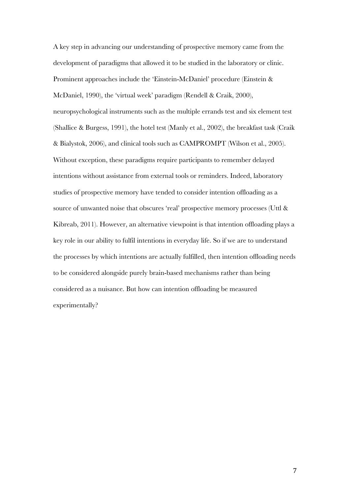A key step in advancing our understanding of prospective memory came from the development of paradigms that allowed it to be studied in the laboratory or clinic. Prominent approaches include the 'Einstein-McDaniel' procedure (Einstein & McDaniel, 1990), the 'virtual week' paradigm (Rendell & Craik, 2000), neuropsychological instruments such as the multiple errands test and six element test (Shallice & Burgess, 1991), the hotel test (Manly et al., 2002), the breakfast task (Craik & Bialystok, 2006), and clinical tools such as CAMPROMPT (Wilson et al., 2005). Without exception, these paradigms require participants to remember delayed intentions without assistance from external tools or reminders. Indeed, laboratory studies of prospective memory have tended to consider intention offloading as a source of unwanted noise that obscures 'real' prospective memory processes (Uttl & Kibreab, 2011). However, an alternative viewpoint is that intention offloading plays a key role in our ability to fulfil intentions in everyday life. So if we are to understand the processes by which intentions are actually fulfilled, then intention offloading needs to be considered alongside purely brain-based mechanisms rather than being considered as a nuisance. But how can intention offloading be measured experimentally?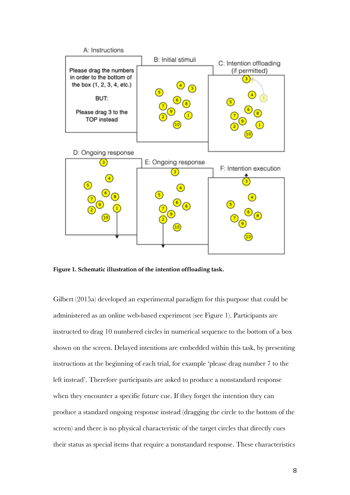

**Figure 1. Schematic illustration of the intention offloading task.**

Gilbert (2015a) developed an experimental paradigm for this purpose that could be administered as an online web-based experiment (see Figure 1). Participants are instructed to drag 10 numbered circles in numerical sequence to the bottom of a box shown on the screen. Delayed intentions are embedded within this task, by presenting instructions at the beginning of each trial, for example 'please drag number 7 to the left instead'. Therefore participants are asked to produce a nonstandard response when they encounter a specific future cue. If they forget the intention they can produce a standard ongoing response instead (dragging the circle to the bottom of the screen) and there is no physical characteristic of the target circles that directly cues their status as special items that require a nonstandard response. These characteristics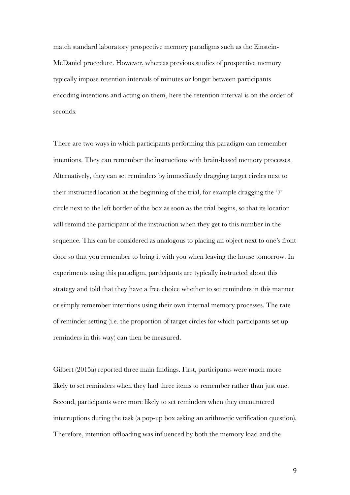match standard laboratory prospective memory paradigms such as the Einstein-McDaniel procedure. However, whereas previous studies of prospective memory typically impose retention intervals of minutes or longer between participants encoding intentions and acting on them, here the retention interval is on the order of seconds.

There are two ways in which participants performing this paradigm can remember intentions. They can remember the instructions with brain-based memory processes. Alternatively, they can set reminders by immediately dragging target circles next to their instructed location at the beginning of the trial, for example dragging the '7' circle next to the left border of the box as soon as the trial begins, so that its location will remind the participant of the instruction when they get to this number in the sequence. This can be considered as analogous to placing an object next to one's front door so that you remember to bring it with you when leaving the house tomorrow. In experiments using this paradigm, participants are typically instructed about this strategy and told that they have a free choice whether to set reminders in this manner or simply remember intentions using their own internal memory processes. The rate of reminder setting (i.e. the proportion of target circles for which participants set up reminders in this way) can then be measured.

Gilbert (2015a) reported three main findings. First, participants were much more likely to set reminders when they had three items to remember rather than just one. Second, participants were more likely to set reminders when they encountered interruptions during the task (a pop-up box asking an arithmetic verification question). Therefore, intention offloading was influenced by both the memory load and the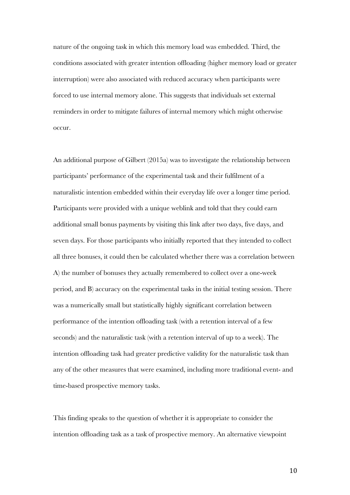nature of the ongoing task in which this memory load was embedded. Third, the conditions associated with greater intention offloading (higher memory load or greater interruption) were also associated with reduced accuracy when participants were forced to use internal memory alone. This suggests that individuals set external reminders in order to mitigate failures of internal memory which might otherwise occur.

An additional purpose of Gilbert (2015a) was to investigate the relationship between participants' performance of the experimental task and their fulfilment of a naturalistic intention embedded within their everyday life over a longer time period. Participants were provided with a unique weblink and told that they could earn additional small bonus payments by visiting this link after two days, five days, and seven days. For those participants who initially reported that they intended to collect all three bonuses, it could then be calculated whether there was a correlation between A) the number of bonuses they actually remembered to collect over a one-week period, and B) accuracy on the experimental tasks in the initial testing session. There was a numerically small but statistically highly significant correlation between performance of the intention offloading task (with a retention interval of a few seconds) and the naturalistic task (with a retention interval of up to a week). The intention offloading task had greater predictive validity for the naturalistic task than any of the other measures that were examined, including more traditional event- and time-based prospective memory tasks.

This finding speaks to the question of whether it is appropriate to consider the intention offloading task as a task of prospective memory. An alternative viewpoint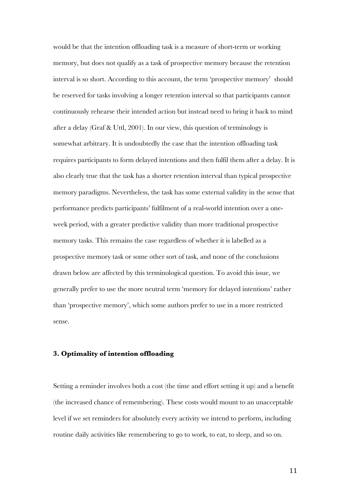would be that the intention offloading task is a measure of short-term or working memory, but does not qualify as a task of prospective memory because the retention interval is so short. According to this account, the term 'prospective memory' should be reserved for tasks involving a longer retention interval so that participants cannot continuously rehearse their intended action but instead need to bring it back to mind after a delay (Graf & Uttl, 2001). In our view, this question of terminology is somewhat arbitrary. It is undoubtedly the case that the intention offloading task requires participants to form delayed intentions and then fulfil them after a delay. It is also clearly true that the task has a shorter retention interval than typical prospective memory paradigms. Nevertheless, the task has some external validity in the sense that performance predicts participants' fulfilment of a real-world intention over a oneweek period, with a greater predictive validity than more traditional prospective memory tasks. This remains the case regardless of whether it is labelled as a prospective memory task or some other sort of task, and none of the conclusions drawn below are affected by this terminological question. To avoid this issue, we generally prefer to use the more neutral term 'memory for delayed intentions' rather than 'prospective memory', which some authors prefer to use in a more restricted sense.

#### **3. Optimality of intention offloading**

Setting a reminder involves both a cost (the time and effort setting it up) and a benefit (the increased chance of remembering). These costs would mount to an unacceptable level if we set reminders for absolutely every activity we intend to perform, including routine daily activities like remembering to go to work, to eat, to sleep, and so on.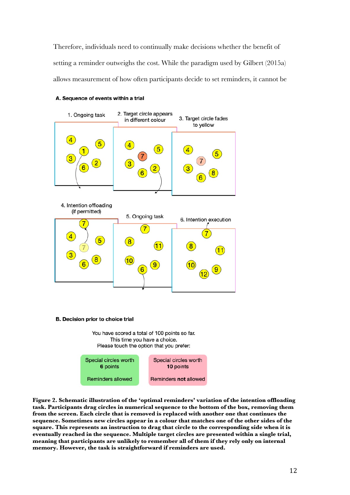Therefore, individuals need to continually make decisions whether the benefit of setting a reminder outweighs the cost. While the paradigm used by Gilbert (2015a) allows measurement of how often participants decide to set reminders, it cannot be

#### A. Sequence of events within a trial



B. Decision prior to choice trial

You have scored a total of 100 points so far. This time you have a choice. Please touch the option that you prefer:



**Figure 2. Schematic illustration of the 'optimal reminders' variation of the intention offloading task. Participants drag circles in numerical sequence to the bottom of the box, removing them from the screen. Each circle that is removed is replaced with another one that continues the sequence. Sometimes new circles appear in a colour that matches one of the other sides of the square. This represents an instruction to drag that circle to the corresponding side when it is eventually reached in the sequence. Multiple target circles are presented within a single trial, meaning that participants are unlikely to remember all of them if they rely only on internal memory. However, the task is straightforward if reminders are used.**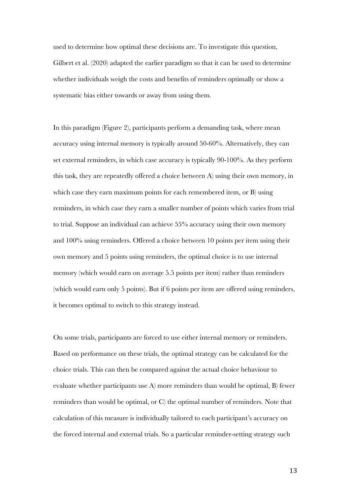used to determine how optimal these decisions are. To investigate this question, Gilbert et al. (2020) adapted the earlier paradigm so that it can be used to determine whether individuals weigh the costs and benefits of reminders optimally or show a systematic bias either towards or away from using them.

In this paradigm (Figure 2), participants perform a demanding task, where mean accuracy using internal memory is typically around 50-60%. Alternatively, they can set external reminders, in which case accuracy is typically 90-100%. As they perform this task, they are repeatedly offered a choice between A) using their own memory, in which case they earn maximum points for each remembered item, or B) using reminders, in which case they earn a smaller number of points which varies from trial to trial. Suppose an individual can achieve 55% accuracy using their own memory and 100% using reminders. Offered a choice between 10 points per item using their own memory and 5 points using reminders, the optimal choice is to use internal memory (which would earn on average 5.5 points per item) rather than reminders (which would earn only 5 points). But if 6 points per item are offered using reminders, it becomes optimal to switch to this strategy instead.

On some trials, participants are forced to use either internal memory or reminders. Based on performance on these trials, the optimal strategy can be calculated for the choice trials. This can then be compared against the actual choice behaviour to evaluate whether participants use A) more reminders than would be optimal, B) fewer reminders than would be optimal, or C) the optimal number of reminders. Note that calculation of this measure is individually tailored to each participant's accuracy on the forced internal and external trials. So a particular reminder-setting strategy such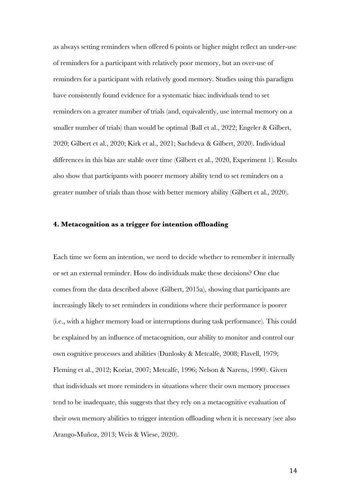as always setting reminders when offered 6 points or higher might reflect an under-use of reminders for a participant with relatively poor memory, but an over-use of reminders for a participant with relatively good memory. Studies using this paradigm have consistently found evidence for a systematic bias: individuals tend to set reminders on a greater number of trials (and, equivalently, use internal memory on a smaller number of trials) than would be optimal (Ball et al., 2022; Engeler & Gilbert, 2020; Gilbert et al., 2020; Kirk et al., 2021; Sachdeva & Gilbert, 2020). Individual differences in this bias are stable over time (Gilbert et al., 2020, Experiment 1). Results also show that participants with poorer memory ability tend to set reminders on a greater number of trials than those with better memory ability (Gilbert et al., 2020).

# **4. Metacognition as a trigger for intention offloading**

Each time we form an intention, we need to decide whether to remember it internally or set an external reminder. How do individuals make these decisions? One clue comes from the data described above (Gilbert, 2015a), showing that participants are increasingly likely to set reminders in conditions where their performance is poorer (i.e., with a higher memory load or interruptions during task performance). This could be explained by an influence of metacognition, our ability to monitor and control our own cognitive processes and abilities (Dunlosky & Metcalfe, 2008; Flavell, 1979; Fleming et al., 2012; Koriat, 2007; Metcalfe, 1996; Nelson & Narens, 1990). Given that individuals set more reminders in situations where their own memory processes tend to be inadequate, this suggests that they rely on a metacognitive evaluation of their own memory abilities to trigger intention offloading when it is necessary (see also Arango-Muñoz, 2013; Weis & Wiese, 2020).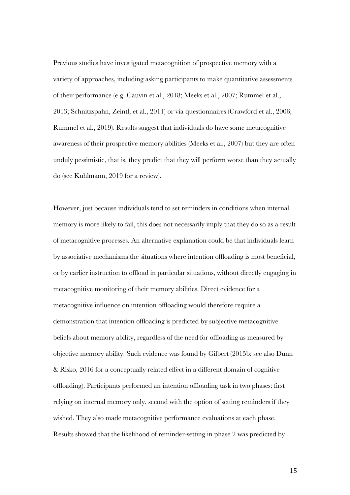Previous studies have investigated metacognition of prospective memory with a variety of approaches, including asking participants to make quantitative assessments of their performance (e.g. Cauvin et al., 2018; Meeks et al., 2007; Rummel et al., 2013; Schnitzspahn, Zeintl, et al., 2011) or via questionnaires (Crawford et al., 2006; Rummel et al., 2019). Results suggest that individuals do have some metacognitive awareness of their prospective memory abilities (Meeks et al., 2007) but they are often unduly pessimistic, that is, they predict that they will perform worse than they actually do (see Kuhlmann, 2019 for a review).

However, just because individuals tend to set reminders in conditions when internal memory is more likely to fail, this does not necessarily imply that they do so as a result of metacognitive processes. An alternative explanation could be that individuals learn by associative mechanisms the situations where intention offloading is most beneficial, or by earlier instruction to offload in particular situations, without directly engaging in metacognitive monitoring of their memory abilities. Direct evidence for a metacognitive influence on intention offloading would therefore require a demonstration that intention offloading is predicted by subjective metacognitive beliefs about memory ability, regardless of the need for offloading as measured by objective memory ability. Such evidence was found by Gilbert (2015b; see also Dunn & Risko, 2016 for a conceptually related effect in a different domain of cognitive offloading). Participants performed an intention offloading task in two phases: first relying on internal memory only, second with the option of setting reminders if they wished. They also made metacognitive performance evaluations at each phase. Results showed that the likelihood of reminder-setting in phase 2 was predicted by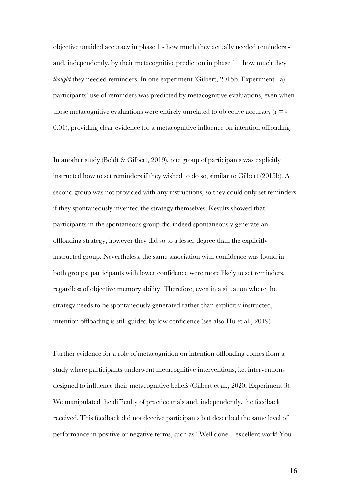objective unaided accuracy in phase 1 - how much they actually needed reminders and, independently, by their metacognitive prediction in phase  $1 -$  how much they *thought* they needed reminders. In one experiment (Gilbert, 2015b, Experiment 1a) participants' use of reminders was predicted by metacognitive evaluations, even when those metacognitive evaluations were entirely unrelated to objective accuracy  $(r = -1)$ 0.01), providing clear evidence for a metacognitive influence on intention offloading.

In another study (Boldt & Gilbert, 2019), one group of participants was explicitly instructed how to set reminders if they wished to do so, similar to Gilbert (2015b). A second group was not provided with any instructions, so they could only set reminders if they spontaneously invented the strategy themselves. Results showed that participants in the spontaneous group did indeed spontaneously generate an offloading strategy, however they did so to a lesser degree than the explicitly instructed group. Nevertheless, the same association with confidence was found in both groups: participants with lower confidence were more likely to set reminders, regardless of objective memory ability. Therefore, even in a situation where the strategy needs to be spontaneously generated rather than explicitly instructed, intention offloading is still guided by low confidence (see also Hu et al., 2019).

Further evidence for a role of metacognition on intention offloading comes from a study where participants underwent metacognitive interventions, i.e. interventions designed to influence their metacognitive beliefs (Gilbert et al., 2020, Experiment 3). We manipulated the difficulty of practice trials and, independently, the feedback received. This feedback did not deceive participants but described the same level of performance in positive or negative terms, such as "Well done – excellent work! You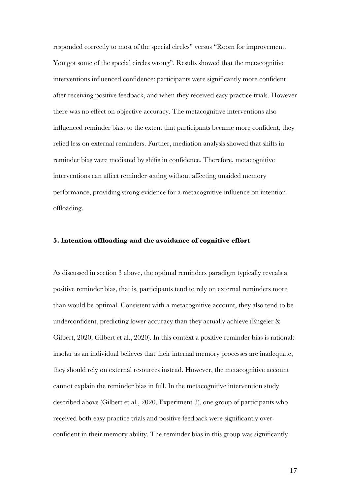responded correctly to most of the special circles" versus "Room for improvement. You got some of the special circles wrong". Results showed that the metacognitive interventions influenced confidence: participants were significantly more confident after receiving positive feedback, and when they received easy practice trials. However there was no effect on objective accuracy. The metacognitive interventions also influenced reminder bias: to the extent that participants became more confident, they relied less on external reminders. Further, mediation analysis showed that shifts in reminder bias were mediated by shifts in confidence. Therefore, metacognitive interventions can affect reminder setting without affecting unaided memory performance, providing strong evidence for a metacognitive influence on intention offloading.

# **5. Intention offloading and the avoidance of cognitive effort**

As discussed in section 3 above, the optimal reminders paradigm typically reveals a positive reminder bias, that is, participants tend to rely on external reminders more than would be optimal. Consistent with a metacognitive account, they also tend to be underconfident, predicting lower accuracy than they actually achieve (Engeler & Gilbert, 2020; Gilbert et al., 2020). In this context a positive reminder bias is rational: insofar as an individual believes that their internal memory processes are inadequate, they should rely on external resources instead. However, the metacognitive account cannot explain the reminder bias in full. In the metacognitive intervention study described above (Gilbert et al., 2020, Experiment 3), one group of participants who received both easy practice trials and positive feedback were significantly overconfident in their memory ability. The reminder bias in this group was significantly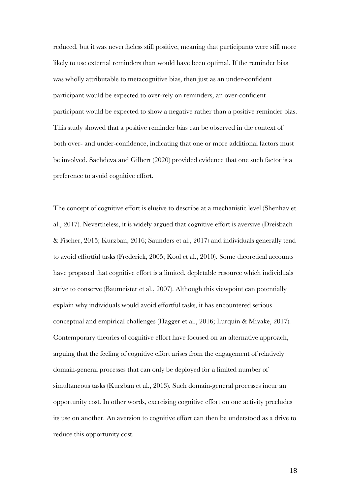reduced, but it was nevertheless still positive, meaning that participants were still more likely to use external reminders than would have been optimal. If the reminder bias was wholly attributable to metacognitive bias, then just as an under-confident participant would be expected to over-rely on reminders, an over-confident participant would be expected to show a negative rather than a positive reminder bias. This study showed that a positive reminder bias can be observed in the context of both over- and under-confidence, indicating that one or more additional factors must be involved. Sachdeva and Gilbert (2020) provided evidence that one such factor is a preference to avoid cognitive effort.

The concept of cognitive effort is elusive to describe at a mechanistic level (Shenhav et al., 2017). Nevertheless, it is widely argued that cognitive effort is aversive (Dreisbach & Fischer, 2015; Kurzban, 2016; Saunders et al., 2017) and individuals generally tend to avoid effortful tasks (Frederick, 2005; Kool et al., 2010). Some theoretical accounts have proposed that cognitive effort is a limited, depletable resource which individuals strive to conserve (Baumeister et al., 2007). Although this viewpoint can potentially explain why individuals would avoid effortful tasks, it has encountered serious conceptual and empirical challenges (Hagger et al., 2016; Lurquin & Miyake, 2017). Contemporary theories of cognitive effort have focused on an alternative approach, arguing that the feeling of cognitive effort arises from the engagement of relatively domain-general processes that can only be deployed for a limited number of simultaneous tasks (Kurzban et al., 2013). Such domain-general processes incur an opportunity cost. In other words, exercising cognitive effort on one activity precludes its use on another. An aversion to cognitive effort can then be understood as a drive to reduce this opportunity cost.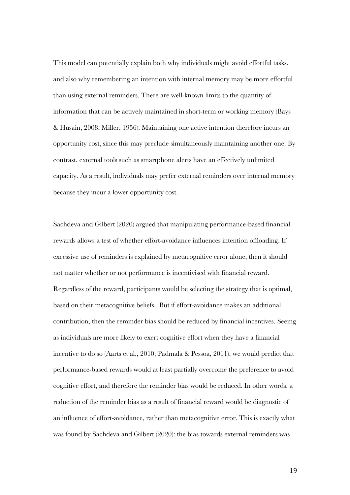This model can potentially explain both why individuals might avoid effortful tasks, and also why remembering an intention with internal memory may be more effortful than using external reminders. There are well-known limits to the quantity of information that can be actively maintained in short-term or working memory (Bays & Husain, 2008; Miller, 1956). Maintaining one active intention therefore incurs an opportunity cost, since this may preclude simultaneously maintaining another one. By contrast, external tools such as smartphone alerts have an effectively unlimited capacity. As a result, individuals may prefer external reminders over internal memory because they incur a lower opportunity cost.

Sachdeva and Gilbert (2020) argued that manipulating performance-based financial rewards allows a test of whether effort-avoidance influences intention offloading. If excessive use of reminders is explained by metacognitive error alone, then it should not matter whether or not performance is incentivised with financial reward. Regardless of the reward, participants would be selecting the strategy that is optimal, based on their metacognitive beliefs. But if effort-avoidance makes an additional contribution, then the reminder bias should be reduced by financial incentives. Seeing as individuals are more likely to exert cognitive effort when they have a financial incentive to do so (Aarts et al., 2010; Padmala & Pessoa, 2011), we would predict that performance-based rewards would at least partially overcome the preference to avoid cognitive effort, and therefore the reminder bias would be reduced. In other words, a reduction of the reminder bias as a result of financial reward would be diagnostic of an influence of effort-avoidance, rather than metacognitive error. This is exactly what was found by Sachdeva and Gilbert (2020): the bias towards external reminders was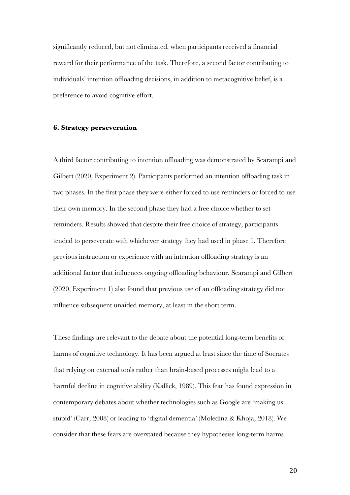significantly reduced, but not eliminated, when participants received a financial reward for their performance of the task. Therefore, a second factor contributing to individuals' intention offloading decisions, in addition to metacognitive belief, is a preference to avoid cognitive effort.

### **6. Strategy perseveration**

A third factor contributing to intention offloading was demonstrated by Scarampi and Gilbert (2020, Experiment 2). Participants performed an intention offloading task in two phases. In the first phase they were either forced to use reminders or forced to use their own memory. In the second phase they had a free choice whether to set reminders. Results showed that despite their free choice of strategy, participants tended to perseverate with whichever strategy they had used in phase 1. Therefore previous instruction or experience with an intention offloading strategy is an additional factor that influences ongoing offloading behaviour. Scarampi and Gilbert (2020, Experiment 1) also found that previous use of an offloading strategy did not influence subsequent unaided memory, at least in the short term.

These findings are relevant to the debate about the potential long-term benefits or harms of cognitive technology. It has been argued at least since the time of Socrates that relying on external tools rather than brain-based processes might lead to a harmful decline in cognitive ability (Kallick, 1989). This fear has found expression in contemporary debates about whether technologies such as Google are 'making us stupid' (Carr, 2008) or leading to 'digital dementia' (Moledina & Khoja, 2018). We consider that these fears are overstated because they hypothesise long-term harms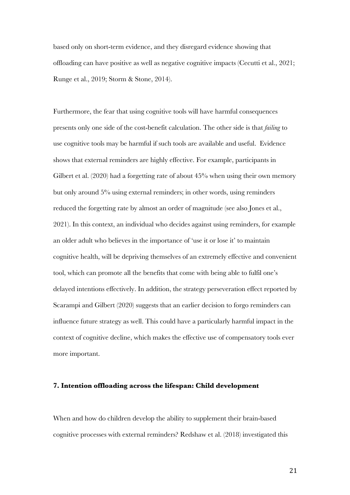based only on short-term evidence, and they disregard evidence showing that offloading can have positive as well as negative cognitive impacts (Cecutti et al., 2021; Runge et al., 2019; Storm & Stone, 2014).

Furthermore, the fear that using cognitive tools will have harmful consequences presents only one side of the cost-benefit calculation. The other side is that *failing* to use cognitive tools may be harmful if such tools are available and useful. Evidence shows that external reminders are highly effective. For example, participants in Gilbert et al. (2020) had a forgetting rate of about 45% when using their own memory but only around 5% using external reminders; in other words, using reminders reduced the forgetting rate by almost an order of magnitude (see also Jones et al., 2021). In this context, an individual who decides against using reminders, for example an older adult who believes in the importance of 'use it or lose it' to maintain cognitive health, will be depriving themselves of an extremely effective and convenient tool, which can promote all the benefits that come with being able to fulfil one's delayed intentions effectively. In addition, the strategy perseveration effect reported by Scarampi and Gilbert (2020) suggests that an earlier decision to forgo reminders can influence future strategy as well. This could have a particularly harmful impact in the context of cognitive decline, which makes the effective use of compensatory tools ever more important.

#### **7. Intention offloading across the lifespan: Child development**

When and how do children develop the ability to supplement their brain-based cognitive processes with external reminders? Redshaw et al. (2018) investigated this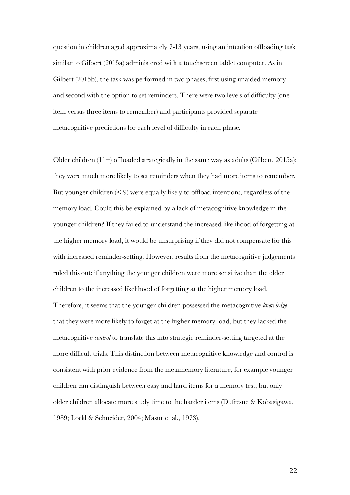question in children aged approximately 7-13 years, using an intention offloading task similar to Gilbert (2015a) administered with a touchscreen tablet computer. As in Gilbert (2015b), the task was performed in two phases, first using unaided memory and second with the option to set reminders. There were two levels of difficulty (one item versus three items to remember) and participants provided separate metacognitive predictions for each level of difficulty in each phase.

Older children (11+) offloaded strategically in the same way as adults (Gilbert, 2015a): they were much more likely to set reminders when they had more items to remember. But younger children  $(0, 9)$  were equally likely to offload intentions, regardless of the memory load. Could this be explained by a lack of metacognitive knowledge in the younger children? If they failed to understand the increased likelihood of forgetting at the higher memory load, it would be unsurprising if they did not compensate for this with increased reminder-setting. However, results from the metacognitive judgements ruled this out: if anything the younger children were more sensitive than the older children to the increased likelihood of forgetting at the higher memory load. Therefore, it seems that the younger children possessed the metacognitive *knowledge* that they were more likely to forget at the higher memory load, but they lacked the metacognitive *control* to translate this into strategic reminder-setting targeted at the more difficult trials. This distinction between metacognitive knowledge and control is consistent with prior evidence from the metamemory literature, for example younger children can distinguish between easy and hard items for a memory test, but only older children allocate more study time to the harder items (Dufresne & Kobasigawa, 1989; Lockl & Schneider, 2004; Masur et al., 1973).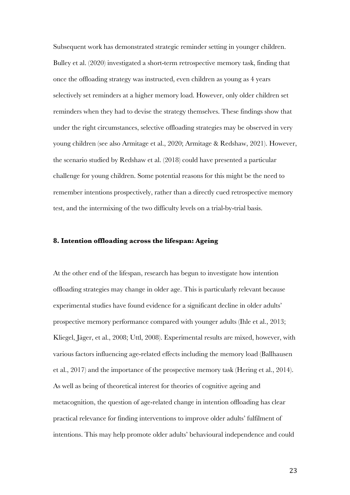Subsequent work has demonstrated strategic reminder setting in younger children. Bulley et al. (2020) investigated a short-term retrospective memory task, finding that once the offloading strategy was instructed, even children as young as 4 years selectively set reminders at a higher memory load. However, only older children set reminders when they had to devise the strategy themselves. These findings show that under the right circumstances, selective offloading strategies may be observed in very young children (see also Armitage et al., 2020; Armitage & Redshaw, 2021). However, the scenario studied by Redshaw et al. (2018) could have presented a particular challenge for young children. Some potential reasons for this might be the need to remember intentions prospectively, rather than a directly cued retrospective memory test, and the intermixing of the two difficulty levels on a trial-by-trial basis.

# **8. Intention offloading across the lifespan: Ageing**

At the other end of the lifespan, research has begun to investigate how intention offloading strategies may change in older age. This is particularly relevant because experimental studies have found evidence for a significant decline in older adults' prospective memory performance compared with younger adults (Ihle et al., 2013; Kliegel, Jäger, et al., 2008; Uttl, 2008). Experimental results are mixed, however, with various factors influencing age-related effects including the memory load (Ballhausen et al., 2017) and the importance of the prospective memory task (Hering et al., 2014). As well as being of theoretical interest for theories of cognitive ageing and metacognition, the question of age-related change in intention offloading has clear practical relevance for finding interventions to improve older adults' fulfilment of intentions. This may help promote older adults' behavioural independence and could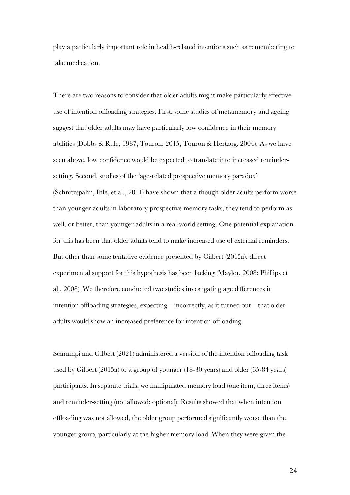play a particularly important role in health-related intentions such as remembering to take medication.

There are two reasons to consider that older adults might make particularly effective use of intention offloading strategies. First, some studies of metamemory and ageing suggest that older adults may have particularly low confidence in their memory abilities (Dobbs & Rule, 1987; Touron, 2015; Touron & Hertzog, 2004). As we have seen above, low confidence would be expected to translate into increased remindersetting. Second, studies of the 'age-related prospective memory paradox' (Schnitzspahn, Ihle, et al., 2011) have shown that although older adults perform worse than younger adults in laboratory prospective memory tasks, they tend to perform as well, or better, than younger adults in a real-world setting. One potential explanation for this has been that older adults tend to make increased use of external reminders. But other than some tentative evidence presented by Gilbert (2015a), direct experimental support for this hypothesis has been lacking (Maylor, 2008; Phillips et al., 2008). We therefore conducted two studies investigating age differences in intention offloading strategies, expecting – incorrectly, as it turned out – that older adults would show an increased preference for intention offloading.

Scarampi and Gilbert (2021) administered a version of the intention offloading task used by Gilbert (2015a) to a group of younger (18-30 years) and older (65-84 years) participants. In separate trials, we manipulated memory load (one item; three items) and reminder-setting (not allowed; optional). Results showed that when intention offloading was not allowed, the older group performed significantly worse than the younger group, particularly at the higher memory load. When they were given the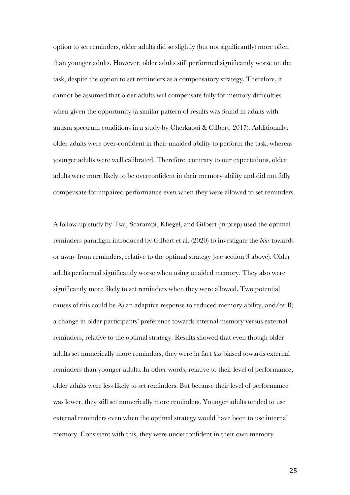option to set reminders, older adults did so slightly (but not significantly) more often than younger adults. However, older adults still performed significantly worse on the task, despite the option to set reminders as a compensatory strategy. Therefore, it cannot be assumed that older adults will compensate fully for memory difficulties when given the opportunity (a similar pattern of results was found in adults with autism spectrum conditions in a study by Cherkaoui & Gilbert, 2017). Additionally, older adults were over-confident in their unaided ability to perform the task, whereas younger adults were well calibrated. Therefore, contrary to our expectations, older adults were more likely to be overconfident in their memory ability and did not fully compensate for impaired performance even when they were allowed to set reminders.

A follow-up study by Tsai, Scarampi, Kliegel, and Gilbert (in prep) used the optimal reminders paradigm introduced by Gilbert et al. (2020) to investigate the *bias* towards or away from reminders, relative to the optimal strategy (see section 3 above). Older adults performed significantly worse when using unaided memory. They also were significantly more likely to set reminders when they were allowed. Two potential causes of this could be A) an adaptive response to reduced memory ability, and/or B) a change in older participants' preference towards internal memory versus external reminders, relative to the optimal strategy. Results showed that even though older adults set numerically more reminders, they were in fact *less* biased towards external reminders than younger adults. In other words, relative to their level of performance, older adults were less likely to set reminders. But because their level of performance was lower, they still set numerically more reminders. Younger adults tended to use external reminders even when the optimal strategy would have been to use internal memory. Consistent with this, they were underconfident in their own memory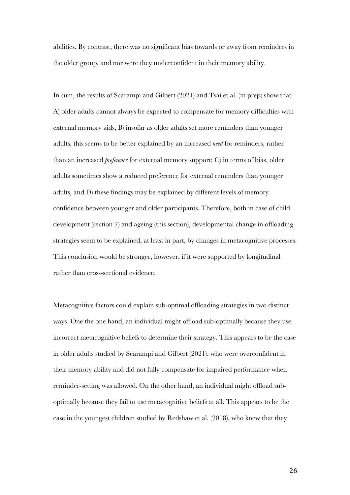abilities. By contrast, there was no significant bias towards or away from reminders in the older group, and nor were they underconfident in their memory ability.

In sum, the results of Scarampi and Gilbert (2021) and Tsai et al. (in prep) show that A) older adults cannot always be expected to compensate for memory difficulties with external memory aids, B) insofar as older adults set more reminders than younger adults, this seems to be better explained by an increased *need* for reminders, rather than an increased *preference* for external memory support; C) in terms of bias, older adults sometimes show a reduced preference for external reminders than younger adults, and D) these findings may be explained by different levels of memory confidence between younger and older participants. Therefore, both in case of child development (section 7) and ageing (this section), developmental change in offloading strategies seem to be explained, at least in part, by changes in metacognitive processes. This conclusion would be stronger, however, if it were supported by longitudinal rather than cross-sectional evidence.

Metacognitive factors could explain sub-optimal offloading strategies in two distinct ways. One the one hand, an individual might offload sub-optimally because they use incorrect metacognitive beliefs to determine their strategy. This appears to be the case in older adults studied by Scarampi and Gilbert (2021), who were overconfident in their memory ability and did not fully compensate for impaired performance when reminder-setting was allowed. On the other hand, an individual might offload suboptimally because they fail to use metacognitive beliefs at all. This appears to be the case in the youngest children studied by Redshaw et al. (2018), who knew that they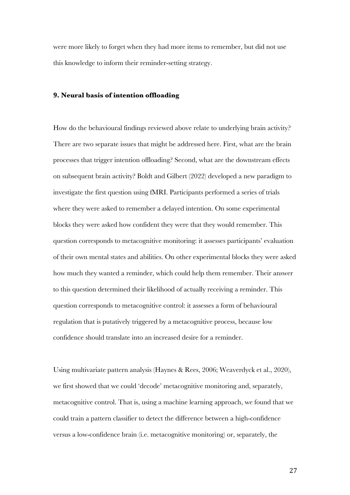were more likely to forget when they had more items to remember, but did not use this knowledge to inform their reminder-setting strategy.

# **9. Neural basis of intention offloading**

How do the behavioural findings reviewed above relate to underlying brain activity? There are two separate issues that might be addressed here. First, what are the brain processes that trigger intention offloading? Second, what are the downstream effects on subsequent brain activity? Boldt and Gilbert (2022) developed a new paradigm to investigate the first question using fMRI. Participants performed a series of trials where they were asked to remember a delayed intention. On some experimental blocks they were asked how confident they were that they would remember. This question corresponds to metacognitive monitoring: it assesses participants' evaluation of their own mental states and abilities. On other experimental blocks they were asked how much they wanted a reminder, which could help them remember. Their answer to this question determined their likelihood of actually receiving a reminder. This question corresponds to metacognitive control: it assesses a form of behavioural regulation that is putatively triggered by a metacognitive process, because low confidence should translate into an increased desire for a reminder.

Using multivariate pattern analysis (Haynes & Rees, 2006; Weaverdyck et al., 2020), we first showed that we could 'decode' metacognitive monitoring and, separately, metacognitive control. That is, using a machine learning approach, we found that we could train a pattern classifier to detect the difference between a high-confidence versus a low-confidence brain (i.e. metacognitive monitoring) or, separately, the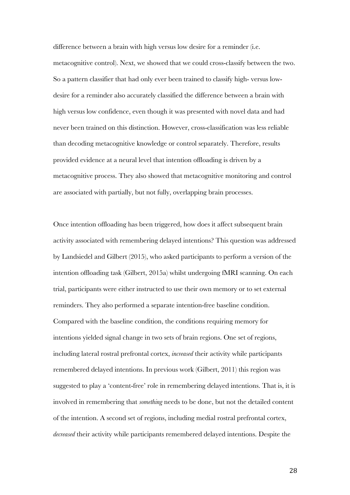difference between a brain with high versus low desire for a reminder (i.e. metacognitive control). Next, we showed that we could cross-classify between the two. So a pattern classifier that had only ever been trained to classify high- versus lowdesire for a reminder also accurately classified the difference between a brain with high versus low confidence, even though it was presented with novel data and had never been trained on this distinction. However, cross-classification was less reliable than decoding metacognitive knowledge or control separately. Therefore, results provided evidence at a neural level that intention offloading is driven by a metacognitive process. They also showed that metacognitive monitoring and control are associated with partially, but not fully, overlapping brain processes.

Once intention offloading has been triggered, how does it affect subsequent brain activity associated with remembering delayed intentions? This question was addressed by Landsiedel and Gilbert (2015), who asked participants to perform a version of the intention offloading task (Gilbert, 2015a) whilst undergoing fMRI scanning. On each trial, participants were either instructed to use their own memory or to set external reminders. They also performed a separate intention-free baseline condition. Compared with the baseline condition, the conditions requiring memory for intentions yielded signal change in two sets of brain regions. One set of regions, including lateral rostral prefrontal cortex, *increased* their activity while participants remembered delayed intentions. In previous work (Gilbert, 2011) this region was suggested to play a 'content-free' role in remembering delayed intentions. That is, it is involved in remembering that *something* needs to be done, but not the detailed content of the intention. A second set of regions, including medial rostral prefrontal cortex, *decreased* their activity while participants remembered delayed intentions. Despite the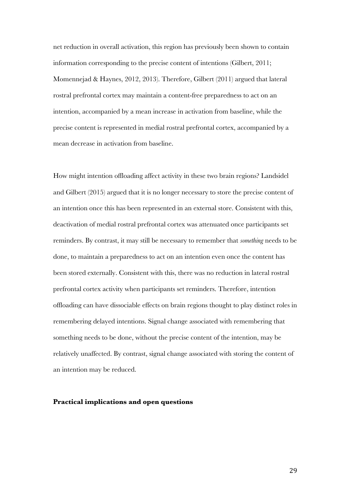net reduction in overall activation, this region has previously been shown to contain information corresponding to the precise content of intentions (Gilbert, 2011; Momennejad & Haynes, 2012, 2013). Therefore, Gilbert (2011) argued that lateral rostral prefrontal cortex may maintain a content-free preparedness to act on an intention, accompanied by a mean increase in activation from baseline, while the precise content is represented in medial rostral prefrontal cortex, accompanied by a mean decrease in activation from baseline.

How might intention offloading affect activity in these two brain regions? Landsidel and Gilbert (2015) argued that it is no longer necessary to store the precise content of an intention once this has been represented in an external store. Consistent with this, deactivation of medial rostral prefrontal cortex was attenuated once participants set reminders. By contrast, it may still be necessary to remember that *something* needs to be done, to maintain a preparedness to act on an intention even once the content has been stored externally. Consistent with this, there was no reduction in lateral rostral prefrontal cortex activity when participants set reminders. Therefore, intention offloading can have dissociable effects on brain regions thought to play distinct roles in remembering delayed intentions. Signal change associated with remembering that something needs to be done, without the precise content of the intention, may be relatively unaffected. By contrast, signal change associated with storing the content of an intention may be reduced.

# **Practical implications and open questions**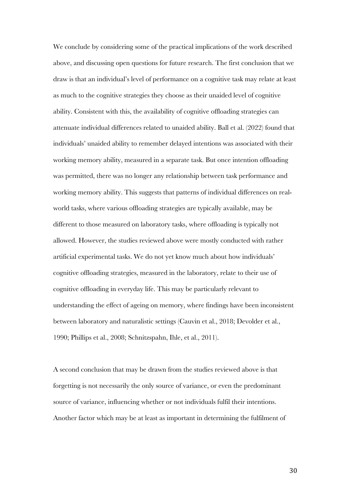We conclude by considering some of the practical implications of the work described above, and discussing open questions for future research. The first conclusion that we draw is that an individual's level of performance on a cognitive task may relate at least as much to the cognitive strategies they choose as their unaided level of cognitive ability. Consistent with this, the availability of cognitive offloading strategies can attenuate individual differences related to unaided ability. Ball et al. (2022) found that individuals' unaided ability to remember delayed intentions was associated with their working memory ability, measured in a separate task. But once intention offloading was permitted, there was no longer any relationship between task performance and working memory ability. This suggests that patterns of individual differences on realworld tasks, where various offloading strategies are typically available, may be different to those measured on laboratory tasks, where offloading is typically not allowed. However, the studies reviewed above were mostly conducted with rather artificial experimental tasks. We do not yet know much about how individuals' cognitive offloading strategies, measured in the laboratory, relate to their use of cognitive offloading in everyday life. This may be particularly relevant to understanding the effect of ageing on memory, where findings have been inconsistent between laboratory and naturalistic settings (Cauvin et al., 2018; Devolder et al., 1990; Phillips et al., 2008; Schnitzspahn, Ihle, et al., 2011).

A second conclusion that may be drawn from the studies reviewed above is that forgetting is not necessarily the only source of variance, or even the predominant source of variance, influencing whether or not individuals fulfil their intentions. Another factor which may be at least as important in determining the fulfilment of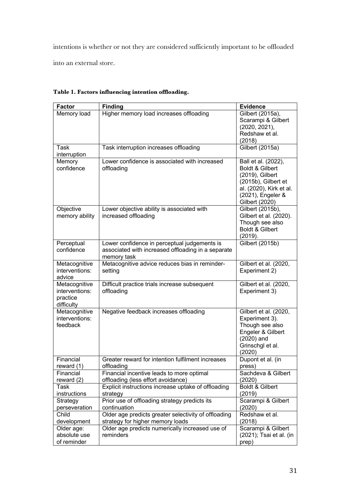intentions is whether or not they are considered sufficiently important to be offloaded into an external store.

| <b>Factor</b>  | <b>Finding</b>                                       | <b>Evidence</b>         |
|----------------|------------------------------------------------------|-------------------------|
| Memory load    | Higher memory load increases offloading              | Gilbert (2015a),        |
|                |                                                      | Scarampi & Gilbert      |
|                |                                                      | (2020, 2021),           |
|                |                                                      | Redshaw et al.          |
|                |                                                      | (2018)                  |
| Task           | Task interruption increases offloading               | Gilbert (2015a)         |
| interruption   |                                                      |                         |
| Memory         | Lower confidence is associated with increased        | Ball et al. (2022),     |
| confidence     | offloading                                           | Boldt & Gilbert         |
|                |                                                      | (2019), Gilbert         |
|                |                                                      | (2015b), Gilbert et     |
|                |                                                      | al. (2020), Kirk et al. |
|                |                                                      | (2021), Engeler &       |
|                |                                                      | Gilbert (2020)          |
| Objective      | Lower objective ability is associated with           | Gilbert (2015b),        |
| memory ability | increased offloading                                 | Gilbert et al. (2020).  |
|                |                                                      | Though see also         |
|                |                                                      | Boldt & Gilbert         |
|                |                                                      | (2019).                 |
| Perceptual     | Lower confidence in perceptual judgements is         | Gilbert (2015b)         |
| confidence     | associated with increased offloading in a separate   |                         |
|                | memory task                                          |                         |
| Metacognitive  | Metacognitive advice reduces bias in reminder-       | Gilbert et al. (2020,   |
| interventions: | setting                                              | Experiment 2)           |
| advice         |                                                      |                         |
| Metacognitive  | Difficult practice trials increase subsequent        | Gilbert et al. (2020,   |
| interventions: | offloading                                           | Experiment 3)           |
| practice       |                                                      |                         |
| difficulty     |                                                      |                         |
| Metacognitive  | Negative feedback increases offloading               | Gilbert et al. (2020,   |
| interventions: |                                                      | Experiment 3).          |
| feedback       |                                                      | Though see also         |
|                |                                                      | Engeler & Gilbert       |
|                |                                                      | $(2020)$ and            |
|                |                                                      | Grinschgl et al.        |
|                |                                                      | (2020)                  |
| Financial      | Greater reward for intention fulfilment increases    | Dupont et al. (in       |
| reward (1)     | offloading                                           | press)                  |
| Financial      | Financial incentive leads to more optimal            | Sachdeva & Gilbert      |
| reward (2)     | offloading (less effort avoidance)                   | (2020)                  |
| Task           | Explicit instructions increase uptake of offloading  | Boldt & Gilbert         |
| instructions   | strategy                                             | (2019)                  |
| Strategy       | Prior use of offloading strategy predicts its        | Scarampi & Gilbert      |
| perseveration  | continuation                                         | (2020)                  |
| Child          | Older age predicts greater selectivity of offloading | Redshaw et al.          |
| development    | strategy for higher memory loads                     | (2018)                  |
| Older age:     | Older age predicts numerically increased use of      | Scarampi & Gilbert      |
| absolute use   | reminders                                            | (2021); Tsai et al. (in |
| of reminder    |                                                      | prep)                   |

# **Table 1. Factors influencing intention offloading.**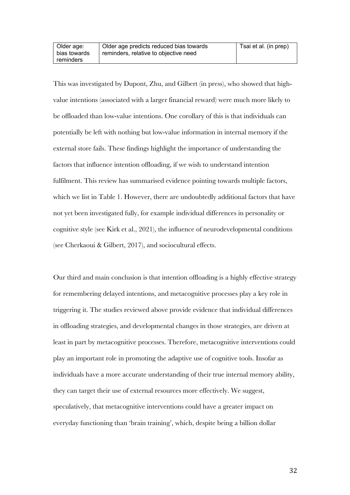This was investigated by Dupont, Zhu, and Gilbert (in press), who showed that highvalue intentions (associated with a larger financial reward) were much more likely to be offloaded than low-value intentions. One corollary of this is that individuals can potentially be left with nothing but low-value information in internal memory if the external store fails. These findings highlight the importance of understanding the factors that influence intention offloading, if we wish to understand intention fulfilment. This review has summarised evidence pointing towards multiple factors, which we list in Table 1. However, there are undoubtedly additional factors that have not yet been investigated fully, for example individual differences in personality or cognitive style (see Kirk et al., 2021), the influence of neurodevelopmental conditions (see Cherkaoui & Gilbert, 2017), and sociocultural effects.

Our third and main conclusion is that intention offloading is a highly effective strategy for remembering delayed intentions, and metacognitive processes play a key role in triggering it. The studies reviewed above provide evidence that individual differences in offloading strategies, and developmental changes in those strategies, are driven at least in part by metacognitive processes. Therefore, metacognitive interventions could play an important role in promoting the adaptive use of cognitive tools. Insofar as individuals have a more accurate understanding of their true internal memory ability, they can target their use of external resources more effectively. We suggest, speculatively, that metacognitive interventions could have a greater impact on everyday functioning than 'brain training', which, despite being a billion dollar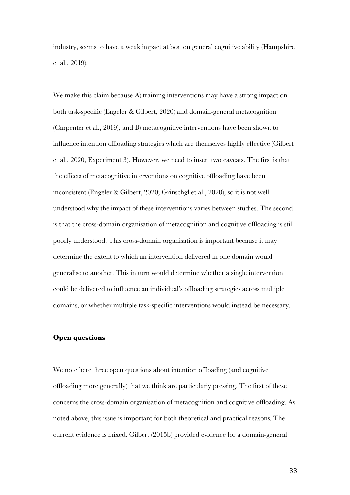industry, seems to have a weak impact at best on general cognitive ability (Hampshire et al., 2019).

We make this claim because A) training interventions may have a strong impact on both task-specific (Engeler & Gilbert, 2020) and domain-general metacognition (Carpenter et al., 2019), and B) metacognitive interventions have been shown to influence intention offloading strategies which are themselves highly effective (Gilbert et al., 2020, Experiment 3). However, we need to insert two caveats. The first is that the effects of metacognitive interventions on cognitive offloading have been inconsistent (Engeler & Gilbert, 2020; Grinschgl et al., 2020), so it is not well understood why the impact of these interventions varies between studies. The second is that the cross-domain organisation of metacognition and cognitive offloading is still poorly understood. This cross-domain organisation is important because it may determine the extent to which an intervention delivered in one domain would generalise to another. This in turn would determine whether a single intervention could be delivered to influence an individual's offloading strategies across multiple domains, or whether multiple task-specific interventions would instead be necessary.

# **Open questions**

We note here three open questions about intention offloading (and cognitive offloading more generally) that we think are particularly pressing. The first of these concerns the cross-domain organisation of metacognition and cognitive offloading. As noted above, this issue is important for both theoretical and practical reasons. The current evidence is mixed. Gilbert (2015b) provided evidence for a domain-general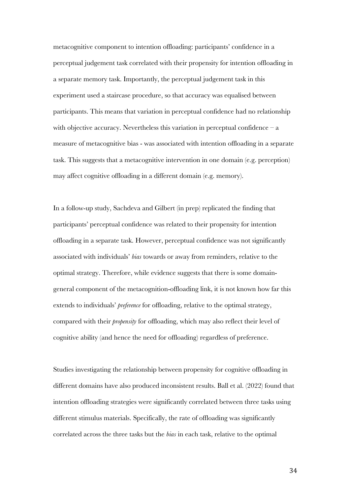metacognitive component to intention offloading: participants' confidence in a perceptual judgement task correlated with their propensity for intention offloading in a separate memory task. Importantly, the perceptual judgement task in this experiment used a staircase procedure, so that accuracy was equalised between participants. This means that variation in perceptual confidence had no relationship with objective accuracy. Nevertheless this variation in perceptual confidence  $-a$ measure of metacognitive bias - was associated with intention offloading in a separate task. This suggests that a metacognitive intervention in one domain (e.g. perception) may affect cognitive offloading in a different domain (e.g. memory).

In a follow-up study, Sachdeva and Gilbert (in prep) replicated the finding that participants' perceptual confidence was related to their propensity for intention offloading in a separate task. However, perceptual confidence was not significantly associated with individuals' *bias* towards or away from reminders, relative to the optimal strategy. Therefore, while evidence suggests that there is some domaingeneral component of the metacognition-offloading link, it is not known how far this extends to individuals' *preference* for offloading, relative to the optimal strategy, compared with their *propensity* for offloading, which may also reflect their level of cognitive ability (and hence the need for offloading) regardless of preference.

Studies investigating the relationship between propensity for cognitive offloading in different domains have also produced inconsistent results. Ball et al. (2022) found that intention offloading strategies were significantly correlated between three tasks using different stimulus materials. Specifically, the rate of offloading was significantly correlated across the three tasks but the *bias* in each task, relative to the optimal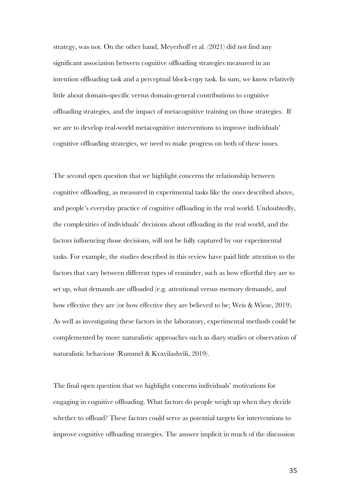strategy, was not. On the other hand, Meyerhoff et al. (2021) did not find any significant association between cognitive offloading strategies measured in an intention offloading task and a perceptual block-copy task. In sum, we know relatively little about domain-specific versus domain-general contributions to cognitive offloading strategies, and the impact of metacognitive training on those strategies. If we are to develop real-world metacognitive interventions to improve individuals' cognitive offloading strategies, we need to make progress on both of these issues.

The second open question that we highlight concerns the relationship between cognitive offloading, as measured in experimental tasks like the ones described above, and people's everyday practice of cognitive offloading in the real world. Undoubtedly, the complexities of individuals' decisions about offloading in the real world, and the factors influencing those decisions, will not be fully captured by our experimental tasks. For example, the studies described in this review have paid little attention to the factors that vary between different types of reminder, such as how effortful they are to set up, what demands are offloaded (e.g. attentional versus memory demands), and how effective they are (or how effective they are believed to be; Weis & Wiese, 2019). As well as investigating these factors in the laboratory, experimental methods could be complemented by more naturalistic approaches such as diary studies or observation of naturalistic behaviour (Rummel & Kvavilashvili, 2019).

The final open question that we highlight concerns individuals' motivations for engaging in cognitive offloading. What factors do people weigh up when they decide whether to offload? These factors could serve as potential targets for interventions to improve cognitive offloading strategies. The answer implicit in much of the discussion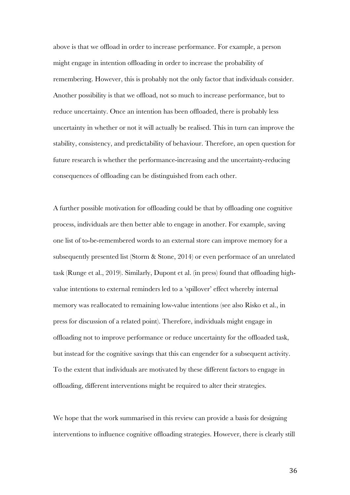above is that we offload in order to increase performance. For example, a person might engage in intention offloading in order to increase the probability of remembering. However, this is probably not the only factor that individuals consider. Another possibility is that we offload, not so much to increase performance, but to reduce uncertainty. Once an intention has been offloaded, there is probably less uncertainty in whether or not it will actually be realised. This in turn can improve the stability, consistency, and predictability of behaviour. Therefore, an open question for future research is whether the performance-increasing and the uncertainty-reducing consequences of offloading can be distinguished from each other.

A further possible motivation for offloading could be that by offloading one cognitive process, individuals are then better able to engage in another. For example, saving one list of to-be-remembered words to an external store can improve memory for a subsequently presented list (Storm & Stone, 2014) or even performace of an unrelated task (Runge et al., 2019). Similarly, Dupont et al. (in press) found that offloading highvalue intentions to external reminders led to a 'spillover' effect whereby internal memory was reallocated to remaining low-value intentions (see also Risko et al., in press for discussion of a related point). Therefore, individuals might engage in offloading not to improve performance or reduce uncertainty for the offloaded task, but instead for the cognitive savings that this can engender for a subsequent activity. To the extent that individuals are motivated by these different factors to engage in offloading, different interventions might be required to alter their strategies.

We hope that the work summarised in this review can provide a basis for designing interventions to influence cognitive offloading strategies. However, there is clearly still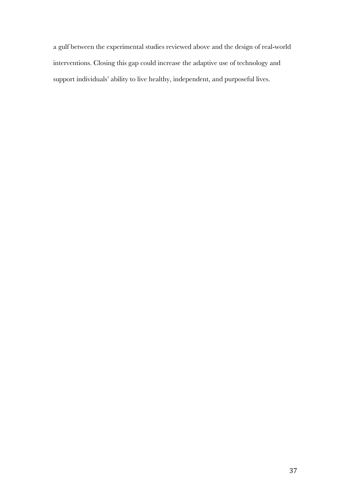a gulf between the experimental studies reviewed above and the design of real-world interventions. Closing this gap could increase the adaptive use of technology and support individuals' ability to live healthy, independent, and purposeful lives.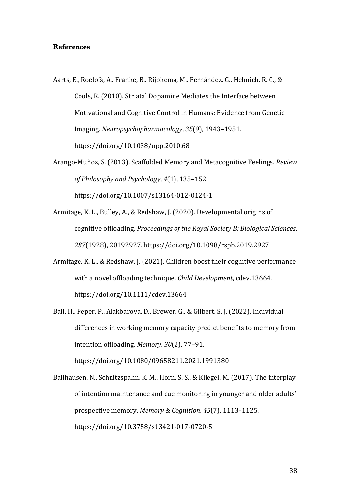# **References**

- Aarts, E., Roelofs, A., Franke, B., Rijpkema, M., Fernández, G., Helmich, R. C., & Cools, R. (2010). Striatal Dopamine Mediates the Interface between Motivational and Cognitive Control in Humans: Evidence from Genetic Imaging. *Neuropsychopharmacology*, *35*(9), 1943–1951. https://doi.org/10.1038/npp.2010.68
- Arango-Muñoz, S. (2013). Scaffolded Memory and Metacognitive Feelings. *Review of Philosophy and Psychology*, *4*(1), 135–152. https://doi.org/10.1007/s13164-012-0124-1
- Armitage, K. L., Bulley, A., & Redshaw, J. (2020). Developmental origins of cognitive offloading. *Proceedings of the Royal Society B: Biological Sciences*, 287(1928), 20192927. https://doi.org/10.1098/rspb.2019.2927
- Armitage, K. L., & Redshaw, J. (2021). Children boost their cognitive performance with a novel offloading technique. *Child Development*, cdev.13664. https://doi.org/10.1111/cdev.13664
- Ball, H., Peper, P., Alakbarova, D., Brewer, G., & Gilbert, S. J. (2022). Individual differences in working memory capacity predict benefits to memory from intention offloading. Memory, 30(2), 77-91. https://doi.org/10.1080/09658211.2021.1991380

Ballhausen, N., Schnitzspahn, K. M., Horn, S. S., & Kliegel, M. (2017). The interplay of intention maintenance and cue monitoring in younger and older adults' prospective memory. Memory & Cognition, 45(7), 1113-1125. https://doi.org/10.3758/s13421-017-0720-5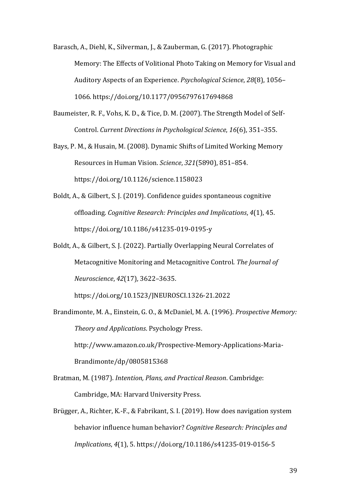Barasch, A., Diehl, K., Silverman, J., & Zauberman, G. (2017). Photographic Memory: The Effects of Volitional Photo Taking on Memory for Visual and Auditory Aspects of an Experience. *Psychological Science*, 28(8), 1056– 1066. https://doi.org/10.1177/0956797617694868

- Baumeister, R. F., Vohs, K. D., & Tice, D. M. (2007). The Strength Model of Self-Control. Current Directions in Psychological Science, 16(6), 351-355.
- Bays, P. M., & Husain, M. (2008). Dynamic Shifts of Limited Working Memory Resources in Human Vision. *Science*, 321(5890), 851-854. https://doi.org/10.1126/science.1158023
- Boldt, A., & Gilbert, S. J. (2019). Confidence guides spontaneous cognitive offloading. *Cognitive Research: Principles and Implications*, *4*(1), 45. https://doi.org/10.1186/s41235-019-0195-y
- Boldt, A., & Gilbert, S. J. (2022). Partially Overlapping Neural Correlates of Metacognitive Monitoring and Metacognitive Control. The Journal of *Neuroscience*, *42*(17), 3622–3635.

https://doi.org/10.1523/JNEUROSCI.1326-21.2022

- Brandimonte, M. A., Einstein, G. O., & McDaniel, M. A. (1996). *Prospective Memory: Theory and Applications*. Psychology Press. http://www.amazon.co.uk/Prospective-Memory-Applications-Maria-Brandimonte/dp/0805815368
- Bratman, M. (1987). *Intention, Plans, and Practical Reason*. Cambridge: Cambridge, MA: Harvard University Press.
- Brügger, A., Richter, K.-F., & Fabrikant, S. I. (2019). How does navigation system behavior influence human behavior? *Cognitive Research: Principles and Implications*, *4*(1), 5. https://doi.org/10.1186/s41235-019-0156-5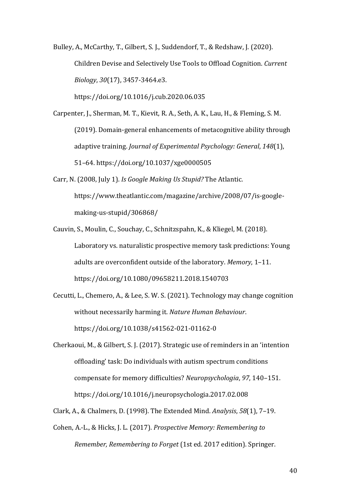Bulley, A., McCarthy, T., Gilbert, S. J., Suddendorf, T., & Redshaw, J. (2020). Children Devise and Selectively Use Tools to Offload Cognition. *Current Biology*, *30*(17), 3457-3464.e3. 

https://doi.org/10.1016/j.cub.2020.06.035

Carpenter, J., Sherman, M. T., Kievit, R. A., Seth, A. K., Lau, H., & Fleming, S. M. (2019). Domain-general enhancements of metacognitive ability through adaptive training. *Journal of Experimental Psychology: General*, 148(1), 51–64. https://doi.org/10.1037/xge0000505

Carr, N. (2008, July 1). *Is Google Making Us Stupid?* The Atlantic. https://www.theatlantic.com/magazine/archive/2008/07/is-googlemaking-us-stupid/306868/

Cauvin, S., Moulin, C., Souchay, C., Schnitzspahn, K., & Kliegel, M. (2018). Laboratory vs. naturalistic prospective memory task predictions: Young adults are overconfident outside of the laboratory. Memory, 1-11. https://doi.org/10.1080/09658211.2018.1540703

Cecutti, L., Chemero, A., & Lee, S. W. S. (2021). Technology may change cognition without necessarily harming it. *Nature Human Behaviour*. https://doi.org/10.1038/s41562-021-01162-0

Cherkaoui, M., & Gilbert, S. J. (2017). Strategic use of reminders in an 'intention offloading' task: Do individuals with autism spectrum conditions compensate for memory difficulties? *Neuropsychologia*, 97, 140-151. https://doi.org/10.1016/j.neuropsychologia.2017.02.008

Clark, A., & Chalmers, D. (1998). The Extended Mind. *Analysis*, *58*(1), 7–19.

Cohen, A.-L., & Hicks, J. L. (2017). *Prospective Memory: Remembering to Remember, Remembering to Forget* (1st ed. 2017 edition). Springer.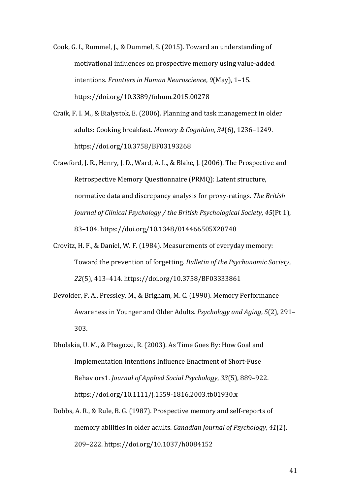Cook, G. I., Rummel, J., & Dummel, S. (2015). Toward an understanding of motivational influences on prospective memory using value-added intentions. *Frontiers in Human Neuroscience*, 9(May), 1-15. https://doi.org/10.3389/fnhum.2015.00278

Craik, F. I. M., & Bialystok, E. (2006). Planning and task management in older adults: Cooking breakfast. Memory & Cognition, 34(6), 1236-1249. https://doi.org/10.3758/BF03193268

- Crawford, J. R., Henry, J. D., Ward, A. L., & Blake, J. (2006). The Prospective and Retrospective Memory Questionnaire (PRMQ): Latent structure, normative data and discrepancy analysis for proxy-ratings. The British *Journal of Clinical Psychology / the British Psychological Society, 45(Pt 1),* 83–104. https://doi.org/10.1348/014466505X28748
- Crovitz, H. F., & Daniel, W. F. (1984). Measurements of everyday memory: Toward the prevention of forgetting. Bulletin of the Psychonomic Society, *22*(5), 413–414. https://doi.org/10.3758/BF03333861
- Devolder, P. A., Pressley, M., & Brigham, M. C. (1990). Memory Performance Awareness in Younger and Older Adults. *Psychology and Aging*, 5(2), 291– 303.
- Dholakia, U. M., & Pbagozzi, R. (2003). As Time Goes By: How Goal and Implementation Intentions Influence Enactment of Short-Fuse Behaviors1. *Journal of Applied Social Psychology*, 33(5), 889-922. https://doi.org/10.1111/j.1559-1816.2003.tb01930.x
- Dobbs, A. R., & Rule, B. G. (1987). Prospective memory and self-reports of memory abilities in older adults. *Canadian Journal of Psychology*, 41(2), 209–222. https://doi.org/10.1037/h0084152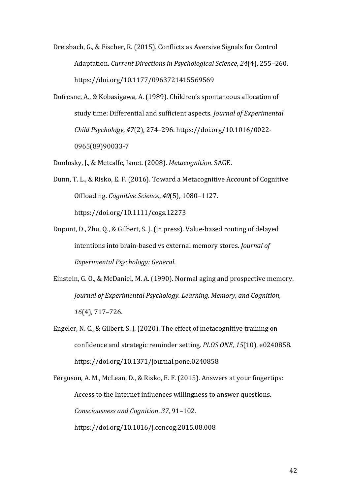Dreisbach, G., & Fischer, R. (2015). Conflicts as Aversive Signals for Control Adaptation. *Current Directions in Psychological Science*, 24(4), 255-260. https://doi.org/10.1177/0963721415569569

Dufresne, A., & Kobasigawa, A. (1989). Children's spontaneous allocation of study time: Differential and sufficient aspects. *Journal of Experimental Child Psychology*, *47*(2), 274–296. https://doi.org/10.1016/0022- 0965(89)90033-7

Dunlosky, J., & Metcalfe, Janet. (2008). *Metacognition*. SAGE.

- Dunn, T. L., & Risko, E. F. (2016). Toward a Metacognitive Account of Cognitive Offloading. *Cognitive Science*, *40*(5), 1080–1127. https://doi.org/10.1111/cogs.12273
- Dupont, D., Zhu, Q., & Gilbert, S. J. (in press). Value-based routing of delayed intentions into brain-based vs external memory stores. *Journal of Experimental Psychology: General*.
- Einstein, G. O., & McDaniel, M. A. (1990). Normal aging and prospective memory. *Journal of Experimental Psychology. Learning, Memory, and Cognition, 16*(4), 717–726.
- Engeler, N. C., & Gilbert, S. J. (2020). The effect of metacognitive training on confidence and strategic reminder setting. *PLOS ONE*, 15(10), e0240858. https://doi.org/10.1371/journal.pone.0240858

Ferguson, A. M., McLean, D., & Risko, E. F. (2015). Answers at your fingertips: Access to the Internet influences willingness to answer questions. *Consciousness and Cognition*, *37*, 91–102. https://doi.org/10.1016/j.concog.2015.08.008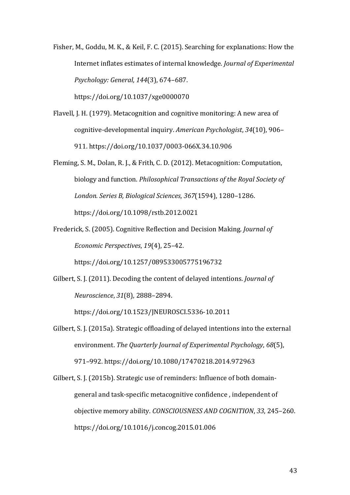Fisher, M., Goddu, M. K., & Keil, F. C. (2015). Searching for explanations: How the Internet inflates estimates of internal knowledge. *Journal of Experimental Psychology: General*, *144*(3), 674–687. 

https://doi.org/10.1037/xge0000070

- Flavell, J. H. (1979). Metacognition and cognitive monitoring: A new area of cognitive-developmental inquiry. American Psychologist, 34(10), 906– 911. https://doi.org/10.1037/0003-066X.34.10.906
- Fleming, S. M., Dolan, R. J., & Frith, C. D. (2012). Metacognition: Computation, biology and function. *Philosophical Transactions of the Royal Society of London. Series B, Biological Sciences*, *367*(1594), 1280–1286. https://doi.org/10.1098/rstb.2012.0021
- Frederick, S. (2005). Cognitive Reflection and Decision Making. *Journal of Economic Perspectives, 19(4), 25-42.*

https://doi.org/10.1257/089533005775196732

Gilbert, S. J. (2011). Decoding the content of delayed intentions. *Journal of Neuroscience*, *31*(8), 2888–2894. 

https://doi.org/10.1523/JNEUROSCI.5336-10.2011

Gilbert, S. J. (2015a). Strategic offloading of delayed intentions into the external environment. The Quarterly Journal of Experimental Psychology, 68(5), 971–992. https://doi.org/10.1080/17470218.2014.972963

Gilbert, S. J. (2015b). Strategic use of reminders: Influence of both domaingeneral and task-specific metacognitive confidence, independent of objective memory ability. *CONSCIOUSNESS AND COGNITION*, 33, 245-260. https://doi.org/10.1016/j.concog.2015.01.006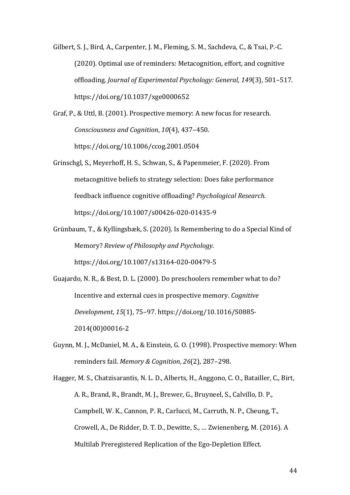Gilbert, S. J., Bird, A., Carpenter, J. M., Fleming, S. M., Sachdeva, C., & Tsai, P.-C. (2020). Optimal use of reminders: Metacognition, effort, and cognitive offloading. *Journal of Experimental Psychology: General*, 149(3), 501-517. https://doi.org/10.1037/xge0000652

Graf, P., & Uttl, B. (2001). Prospective memory: A new focus for research. *Consciousness and Cognition, 10*(4), 437-450. https://doi.org/10.1006/ccog.2001.0504

- Grinschgl, S., Meyerhoff, H. S., Schwan, S., & Papenmeier, F. (2020). From metacognitive beliefs to strategy selection: Does fake performance feedback influence cognitive offloading? *Psychological Research*. https://doi.org/10.1007/s00426-020-01435-9
- Grünbaum, T., & Kyllingsbæk, S. (2020). Is Remembering to do a Special Kind of Memory? *Review of Philosophy and Psychology*. https://doi.org/10.1007/s13164-020-00479-5

Guajardo, N. R., & Best, D. L. (2000). Do preschoolers remember what to do? Incentive and external cues in prospective memory. *Cognitive Development*, *15*(1), 75–97. https://doi.org/10.1016/S0885- 2014(00)00016-2

Guynn, M. J., McDaniel, M. A., & Einstein, G. O. (1998). Prospective memory: When reminders fail. *Memory & Cognition*, 26(2), 287-298.

Hagger, M. S., Chatzisarantis, N. L. D., Alberts, H., Anggono, C. O., Batailler, C., Birt, A. R., Brand, R., Brandt, M. J., Brewer, G., Bruyneel, S., Calvillo, D. P., Campbell, W. K., Cannon, P. R., Carlucci, M., Carruth, N. P., Cheung, T., Crowell, A., De Ridder, D. T. D., Dewitte, S., ... Zwienenberg, M. (2016). A Multilab Preregistered Replication of the Ego-Depletion Effect.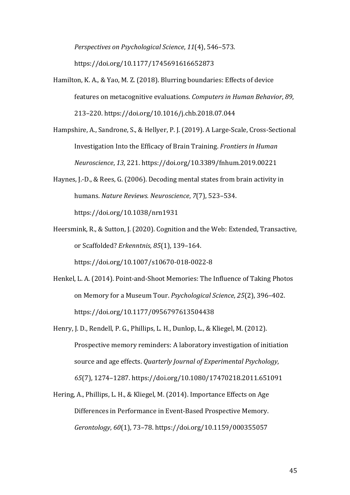*Perspectives on Psychological Science,* 11(4), 546-573. https://doi.org/10.1177/1745691616652873

Hamilton, K. A., & Yao, M. Z. (2018). Blurring boundaries: Effects of device features on metacognitive evaluations. *Computers in Human Behavior*, 89, 213–220. https://doi.org/10.1016/j.chb.2018.07.044

Hampshire, A., Sandrone, S., & Hellyer, P. J. (2019). A Large-Scale, Cross-Sectional Investigation Into the Efficacy of Brain Training. *Frontiers in Human Neuroscience*, *13*, 221. https://doi.org/10.3389/fnhum.2019.00221

- Haynes, J.-D., & Rees, G. (2006). Decoding mental states from brain activity in humans. *Nature Reviews. Neuroscience*, *7*(7), 523-534. https://doi.org/10.1038/nrn1931
- Heersmink, R., & Sutton, J. (2020). Cognition and the Web: Extended, Transactive, or Scaffolded? *Erkenntnis*, *85*(1), 139–164. https://doi.org/10.1007/s10670-018-0022-8
- Henkel, L. A. (2014). Point-and-Shoot Memories: The Influence of Taking Photos on Memory for a Museum Tour. *Psychological Science*, *25*(2), 396–402. https://doi.org/10.1177/0956797613504438
- Henry, J. D., Rendell, P. G., Phillips, L. H., Dunlop, L., & Kliegel, M. (2012). Prospective memory reminders: A laboratory investigation of initiation source and age effects. *Quarterly Journal of Experimental Psychology*, *65*(7), 1274–1287. https://doi.org/10.1080/17470218.2011.651091
- Hering, A., Phillips, L. H., & Kliegel, M. (2014). Importance Effects on Age Differences in Performance in Event-Based Prospective Memory. *Gerontology*, *60*(1), 73–78. https://doi.org/10.1159/000355057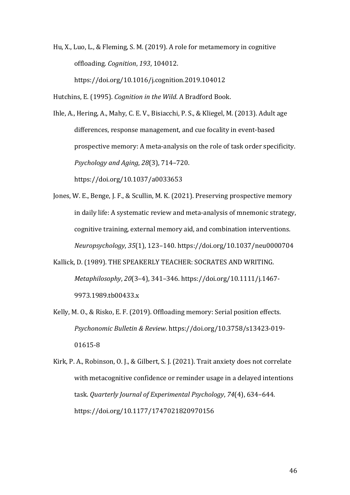Hu, X., Luo, L., & Fleming, S. M. (2019). A role for metamemory in cognitive offloading. *Cognition*, *193*, 104012. https://doi.org/10.1016/j.cognition.2019.104012

Hutchins, E. (1995). *Cognition in the Wild*. A Bradford Book.

Ihle, A., Hering, A., Mahy, C. E. V., Bisiacchi, P. S., & Kliegel, M. (2013). Adult age differences, response management, and cue focality in event-based prospective memory: A meta-analysis on the role of task order specificity. *Psychology and Aging*, *28*(3), 714–720. https://doi.org/10.1037/a0033653

Jones, W. E., Benge, J. F., & Scullin, M. K. (2021). Preserving prospective memory in daily life: A systematic review and meta-analysis of mnemonic strategy, cognitive training, external memory aid, and combination interventions. *Neuropsychology*, *35*(1), 123–140. https://doi.org/10.1037/neu0000704

- Kallick, D. (1989). THE SPEAKERLY TEACHER: SOCRATES AND WRITING. *Metaphilosophy, 20*(3-4), 341-346. https://doi.org/10.1111/j.1467-9973.1989.tb00433.x
- Kelly, M. O., & Risko, E. F. (2019). Offloading memory: Serial position effects. *Psychonomic Bulletin & Review*. https://doi.org/10.3758/s13423-019- 01615-8
- Kirk, P. A., Robinson, O. J., & Gilbert, S. J. (2021). Trait anxiety does not correlate with metacognitive confidence or reminder usage in a delayed intentions task. *Quarterly Journal of Experimental Psychology, 74(4), 634-644.* https://doi.org/10.1177/1747021820970156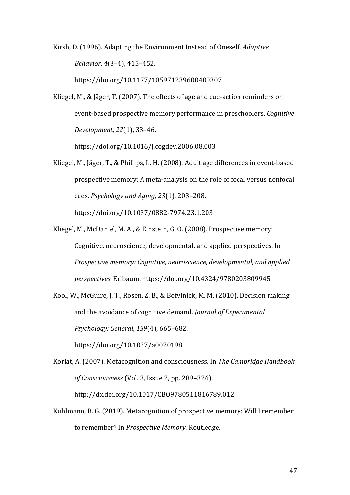Kirsh, D. (1996). Adapting the Environment Instead of Oneself. *Adaptive Behavior*, *4*(3–4), 415–452. 

https://doi.org/10.1177/105971239600400307

Kliegel, M., & Jäger, T. (2007). The effects of age and cue-action reminders on event-based prospective memory performance in preschoolers. *Cognitive Development*, *22*(1), 33–46. 

https://doi.org/10.1016/j.cogdev.2006.08.003

- Kliegel, M., Jäger, T., & Phillips, L. H. (2008). Adult age differences in event-based prospective memory: A meta-analysis on the role of focal versus nonfocal cues. *Psychology and Aging*, *23*(1), 203–208. https://doi.org/10.1037/0882-7974.23.1.203
- Kliegel, M., McDaniel, M. A., & Einstein, G. O. (2008). Prospective memory: Cognitive, neuroscience, developmental, and applied perspectives. In *Prospective memory: Cognitive, neuroscience, developmental, and applied perspectives*. Erlbaum. https://doi.org/10.4324/9780203809945

Kool, W., McGuire, J. T., Rosen, Z. B., & Botvinick, M. M. (2010). Decision making and the avoidance of cognitive demand. *Journal of Experimental Psychology: General*, *139*(4), 665–682. https://doi.org/10.1037/a0020198

Koriat, A. (2007). Metacognition and consciousness. In *The Cambridge Handbook of Consciousness* (Vol. 3, Issue 2, pp. 289–326). http://dx.doi.org/10.1017/CBO9780511816789.012

Kuhlmann, B. G. (2019). Metacognition of prospective memory: Will I remember to remember? In *Prospective Memory*. Routledge.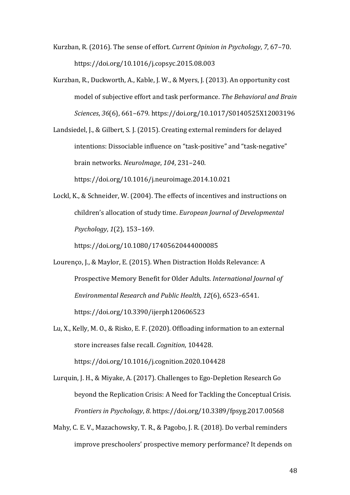- Kurzban, R. (2016). The sense of effort. *Current Opinion in Psychology*, 7, 67–70. https://doi.org/10.1016/j.copsyc.2015.08.003
- Kurzban, R., Duckworth, A., Kable, J. W., & Myers, J. (2013). An opportunity cost model of subjective effort and task performance. The Behavioral and Brain *Sciences*, *36*(6), 661–679. https://doi.org/10.1017/S0140525X12003196
- Landsiedel, J., & Gilbert, S. J. (2015). Creating external reminders for delayed intentions: Dissociable influence on "task-positive" and "task-negative" brain networks. *NeuroImage*, *104*, 231–240. https://doi.org/10.1016/j.neuroimage.2014.10.021

Lockl, K., & Schneider, W. (2004). The effects of incentives and instructions on children's allocation of study time. *European Journal of Developmental Psychology*, *1*(2), 153–169. 

https://doi.org/10.1080/17405620444000085

- Lourenço, J., & Maylor, E. (2015). When Distraction Holds Relevance: A Prospective Memory Benefit for Older Adults. *International Journal of Environmental Research and Public Health*, *12*(6), 6523–6541. https://doi.org/10.3390/ijerph120606523
- Lu, X., Kelly, M. O., & Risko, E. F. (2020). Offloading information to an external store increases false recall. *Cognition*, 104428. https://doi.org/10.1016/j.cognition.2020.104428
- Lurquin, J. H., & Miyake, A. (2017). Challenges to Ego-Depletion Research Go beyond the Replication Crisis: A Need for Tackling the Conceptual Crisis. *Frontiers in Psychology, 8. https://doi.org/10.3389/fpsyg.2017.00568*
- Mahy, C. E. V., Mazachowsky, T. R., & Pagobo, J. R. (2018). Do verbal reminders improve preschoolers' prospective memory performance? It depends on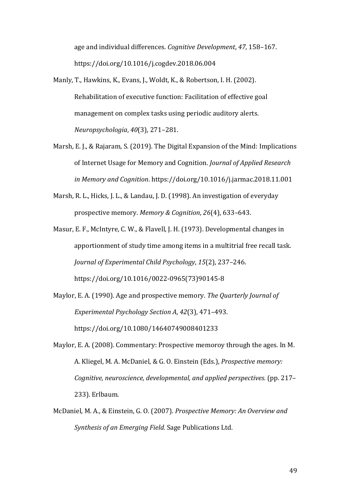age and individual differences. *Cognitive Development*, 47, 158-167. https://doi.org/10.1016/j.cogdev.2018.06.004

- Manly, T., Hawkins, K., Evans, J., Woldt, K., & Robertson, I. H. (2002). Rehabilitation of executive function: Facilitation of effective goal management on complex tasks using periodic auditory alerts. *Neuropsychologia*, *40*(3), 271–281.
- Marsh, E. J., & Rajaram, S. (2019). The Digital Expansion of the Mind: Implications of Internet Usage for Memory and Cognition. *Journal of Applied Research in Memory and Cognition*. https://doi.org/10.1016/j.jarmac.2018.11.001
- Marsh, R. L., Hicks, J. L., & Landau, J. D. (1998). An investigation of everyday prospective memory. Memory & Cognition, 26(4), 633-643.
- Masur, E. F., McIntyre, C. W., & Flavell, J. H. (1973). Developmental changes in apportionment of study time among items in a multitrial free recall task. *Journal of Experimental Child Psychology, 15(2), 237-246.* https://doi.org/10.1016/0022-0965(73)90145-8
- Maylor, E. A. (1990). Age and prospective memory. *The Quarterly Journal of Experimental Psychology Section A, 42(3), 471-493.* https://doi.org/10.1080/14640749008401233
- Maylor, E. A. (2008). Commentary: Prospective memoroy through the ages. In M. A. Kliegel, M. A. McDaniel, & G. O. Einstein (Eds.), *Prospective memory: Cognitive, neuroscience, developmental, and applied perspectives.* (pp. 217– 233). Erlbaum.
- McDaniel, M. A., & Einstein, G. O. (2007). *Prospective Memory: An Overview and Synthesis of an Emerging Field.* Sage Publications Ltd.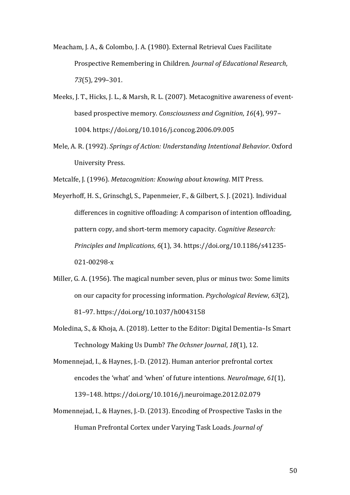Meacham, J. A., & Colombo, J. A. (1980). External Retrieval Cues Facilitate Prospective Remembering in Children. *Journal of Educational Research*, *73*(5), 299–301.

- Meeks, J. T., Hicks, J. L., & Marsh, R. L. (2007). Metacognitive awareness of eventbased prospective memory. *Consciousness and Cognition*, 16(4), 997– 1004. https://doi.org/10.1016/j.concog.2006.09.005
- Mele, A. R. (1992). *Springs of Action: Understanding Intentional Behavior*. Oxford University Press.

Metcalfe, J. (1996). *Metacognition: Knowing about knowing*. MIT Press.

Meyerhoff, H. S., Grinschgl, S., Papenmeier, F., & Gilbert, S. J. (2021). Individual differences in cognitive offloading: A comparison of intention offloading, pattern copy, and short-term memory capacity. *Cognitive Research: Principles and Implications,* 6(1), 34. https://doi.org/10.1186/s41235-021-00298-x

- Miller, G. A. (1956). The magical number seven, plus or minus two: Some limits on our capacity for processing information. *Psychological Review*, 63(2), 81–97. https://doi.org/10.1037/h0043158
- Moledina, S., & Khoja, A. (2018). Letter to the Editor: Digital Dementia-Is Smart Technology Making Us Dumb? The Ochsner Journal, 18(1), 12.

Momennejad, I., & Haynes, J.-D. (2012). Human anterior prefrontal cortex encodes the 'what' and 'when' of future intentions. *NeuroImage*, 61(1), 139–148. https://doi.org/10.1016/j.neuroimage.2012.02.079

Momennejad, I., & Haynes, J.-D. (2013). Encoding of Prospective Tasks in the Human Prefrontal Cortex under Varying Task Loads. *Journal of*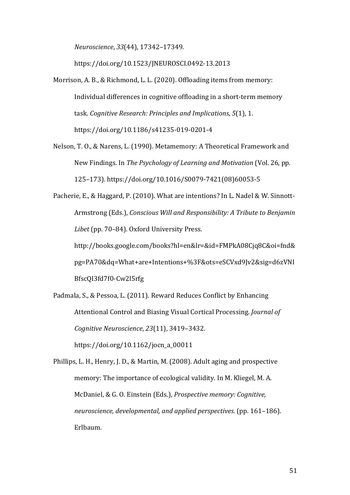*Neuroscience*, *33*(44), 17342–17349. 

https://doi.org/10.1523/JNEUROSCI.0492-13.2013

- Morrison, A. B., & Richmond, L. L. (2020). Offloading items from memory: Individual differences in cognitive offloading in a short-term memory task. *Cognitive Research: Principles and Implications*, 5(1), 1. https://doi.org/10.1186/s41235-019-0201-4
- Nelson, T. O., & Narens, L. (1990). Metamemory: A Theoretical Framework and New Findings. In *The Psychology of Learning and Motivation* (Vol. 26, pp. 125–173). https://doi.org/10.1016/S0079-7421(08)60053-5

Pacherie, E., & Haggard, P. (2010). What are intentions? In L. Nadel & W. Sinnott-Armstrong (Eds.), *Conscious Will and Responsibility: A Tribute to Benjamin* Libet (pp. 70-84). Oxford University Press.

http://books.google.com/books?hl=en&lr=&id=FMPkA08Cjq8C&oi=fnd& pg=PA70&dq=What+are+Intentions+%3F&ots=eSCVxd9Jv2&sig=d6zVNI BfscQI3fd7f0-Cw2l5rfg

Padmala, S., & Pessoa, L. (2011). Reward Reduces Conflict by Enhancing Attentional Control and Biasing Visual Cortical Processing. *Journal of Cognitive Neuroscience*, *23*(11), 3419–3432. https://doi.org/10.1162/jocn\_a\_00011

Phillips, L. H., Henry, J. D., & Martin, M. (2008). Adult aging and prospective memory: The importance of ecological validity. In M. Kliegel, M. A. McDaniel, & G. O. Einstein (Eds.), *Prospective memory: Cognitive*, *neuroscience, developmental, and applied perspectives.* (pp. 161–186). Erlbaum.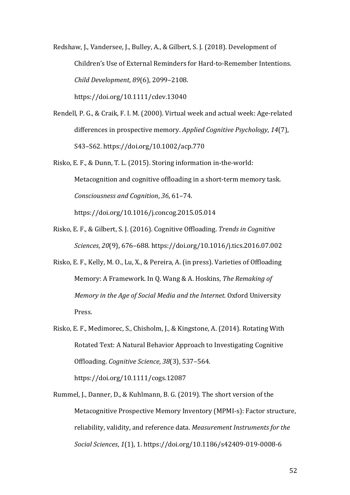Redshaw, J., Vandersee, J., Bulley, A., & Gilbert, S. J. (2018). Development of Children's Use of External Reminders for Hard-to-Remember Intentions. *Child Development*, *89*(6), 2099–2108. https://doi.org/10.1111/cdev.13040

Rendell, P. G., & Craik, F. I. M. (2000). Virtual week and actual week: Age-related differences in prospective memory. *Applied Cognitive Psychology*, 14(7), S43–S62. https://doi.org/10.1002/acp.770

- Risko, E. F., & Dunn, T. L. (2015). Storing information in-the-world: Metacognition and cognitive offloading in a short-term memory task. *Consciousness and Cognition, 36, 61-74.* https://doi.org/10.1016/j.concog.2015.05.014
- Risko, E. F., & Gilbert, S. J. (2016). Cognitive Offloading. *Trends in Cognitive Sciences*, *20*(9), 676–688. https://doi.org/10.1016/j.tics.2016.07.002
- Risko, E. F., Kelly, M. O., Lu, X., & Pereira, A. (in press). Varieties of Offloading Memory: A Framework. In Q. Wang & A. Hoskins, *The Remaking of Memory in the Age of Social Media and the Internet.* Oxford University Press.
- Risko, E. F., Medimorec, S., Chisholm, J., & Kingstone, A. (2014). Rotating With Rotated Text: A Natural Behavior Approach to Investigating Cognitive Offloading. *Cognitive Science*, *38*(3), 537–564. https://doi.org/10.1111/cogs.12087
- Rummel, J., Danner, D., & Kuhlmann, B. G. (2019). The short version of the Metacognitive Prospective Memory Inventory (MPMI-s): Factor structure, reliability, validity, and reference data. *Measurement Instruments for the Social Sciences*, *1*(1), 1. https://doi.org/10.1186/s42409-019-0008-6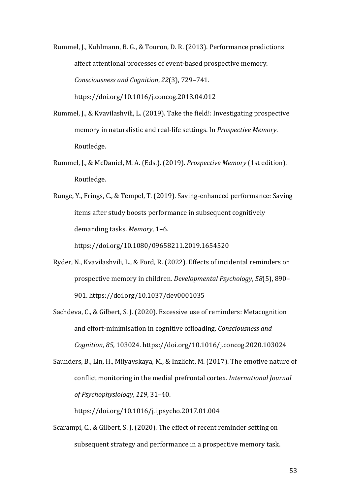Rummel, J., Kuhlmann, B. G., & Touron, D. R. (2013). Performance predictions affect attentional processes of event-based prospective memory. *Consciousness and Cognition*, *22*(3), 729–741. https://doi.org/10.1016/j.concog.2013.04.012

- Rummel, J., & Kvavilashvili, L. (2019). Take the field!: Investigating prospective memory in naturalistic and real-life settings. In *Prospective Memory*. Routledge.
- Rummel, J., & McDaniel, M. A. (Eds.). (2019). *Prospective Memory* (1st edition). Routledge.

Runge, Y., Frings, C., & Tempel, T. (2019). Saving-enhanced performance: Saving items after study boosts performance in subsequent cognitively demanding tasks. Memory, 1-6. https://doi.org/10.1080/09658211.2019.1654520

- Ryder, N., Kvavilashvili, L., & Ford, R. (2022). Effects of incidental reminders on prospective memory in children. *Developmental Psychology*, 58(5), 890– 901. https://doi.org/10.1037/dev0001035
- Sachdeva, C., & Gilbert, S. J. (2020). Excessive use of reminders: Metacognition and effort-minimisation in cognitive offloading. *Consciousness and Cognition*, *85*, 103024. https://doi.org/10.1016/j.concog.2020.103024

Saunders, B., Lin, H., Milyavskaya, M., & Inzlicht, M. (2017). The emotive nature of conflict monitoring in the medial prefrontal cortex. *International Journal of Psychophysiology*, *119*, 31–40. 

https://doi.org/10.1016/j.ijpsycho.2017.01.004

Scarampi, C., & Gilbert, S. J. (2020). The effect of recent reminder setting on subsequent strategy and performance in a prospective memory task.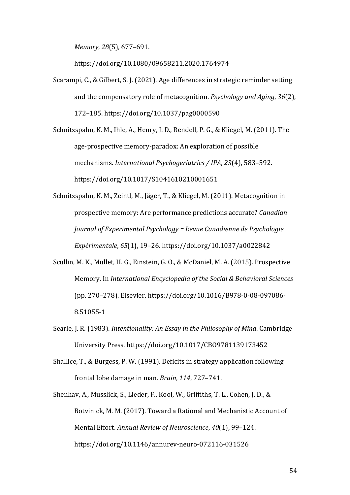*Memory*, *28*(5), 677–691. 

https://doi.org/10.1080/09658211.2020.1764974

Scarampi, C., & Gilbert, S. J. (2021). Age differences in strategic reminder setting and the compensatory role of metacognition. *Psychology and Aging*, 36(2), 172–185. https://doi.org/10.1037/pag0000590

Schnitzspahn, K. M., Ihle, A., Henry, J. D., Rendell, P. G., & Kliegel, M. (2011). The age-prospective memory-paradox: An exploration of possible mechanisms. *International Psychogeriatrics* / IPA, 23(4), 583-592. https://doi.org/10.1017/S1041610210001651

Schnitzspahn, K. M., Zeintl, M., Jäger, T., & Kliegel, M. (2011). Metacognition in prospective memory: Are performance predictions accurate? *Canadian Journal of Experimental Psychology = Revue Canadienne de Psychologie Expérimentale,* 65(1), 19–26. https://doi.org/10.1037/a0022842

- Scullin, M. K., Mullet, H. G., Einstein, G. O., & McDaniel, M. A. (2015). Prospective Memory. In *International Encyclopedia of the Social & Behavioral Sciences* (pp. 270–278). Elsevier. https://doi.org/10.1016/B978-0-08-097086- 8.51055-1
- Searle, J. R. (1983). *Intentionality: An Essay in the Philosophy of Mind*. Cambridge University Press. https://doi.org/10.1017/CBO9781139173452
- Shallice, T., & Burgess, P. W. (1991). Deficits in strategy application following frontal lobe damage in man. *Brain*, 114, 727-741.
- Shenhav, A., Musslick, S., Lieder, F., Kool, W., Griffiths, T. L., Cohen, J. D., & Botvinick, M. M. (2017). Toward a Rational and Mechanistic Account of Mental Effort. Annual Review of Neuroscience, 40(1), 99-124. https://doi.org/10.1146/annurev-neuro-072116-031526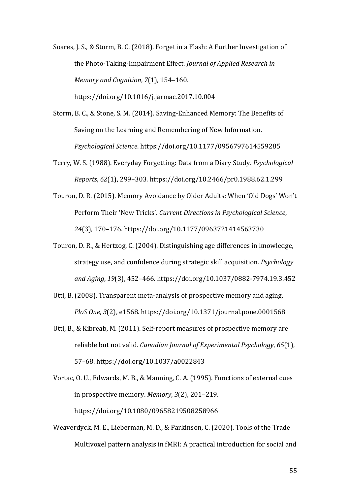Soares, J. S., & Storm, B. C. (2018). Forget in a Flash: A Further Investigation of the Photo-Taking-Impairment Effect. *Journal of Applied Research in Memory and Cognition, 7(1), 154-160.* https://doi.org/10.1016/j.jarmac.2017.10.004

Storm, B. C., & Stone, S. M. (2014). Saving-Enhanced Memory: The Benefits of Saving on the Learning and Remembering of New Information. *Psychological Science*. https://doi.org/10.1177/0956797614559285

Terry, W. S. (1988). Everyday Forgetting: Data from a Diary Study. *Psychological Reports*, *62*(1), 299–303. https://doi.org/10.2466/pr0.1988.62.1.299

Touron, D. R. (2015). Memory Avoidance by Older Adults: When 'Old Dogs' Won't Perform Their 'New Tricks'. *Current Directions in Psychological Science*, 24(3), 170-176. https://doi.org/10.1177/0963721414563730

Touron, D. R., & Hertzog, C. (2004). Distinguishing age differences in knowledge, strategy use, and confidence during strategic skill acquisition. *Psychology and Aging*, *19*(3), 452–466. https://doi.org/10.1037/0882-7974.19.3.452

Uttl, B. (2008). Transparent meta-analysis of prospective memory and aging. *PloS One*, *3*(2), e1568. https://doi.org/10.1371/journal.pone.0001568

Uttl, B., & Kibreab, M. (2011). Self-report measures of prospective memory are reliable but not valid. *Canadian Journal of Experimental Psychology*, 65(1), 57–68. https://doi.org/10.1037/a0022843

Vortac, O. U., Edwards, M. B., & Manning, C. A. (1995). Functions of external cues in prospective memory. *Memory*,  $3(2)$ ,  $201-219$ . https://doi.org/10.1080/09658219508258966

Weaverdyck, M. E., Lieberman, M. D., & Parkinson, C. (2020). Tools of the Trade Multivoxel pattern analysis in fMRI: A practical introduction for social and